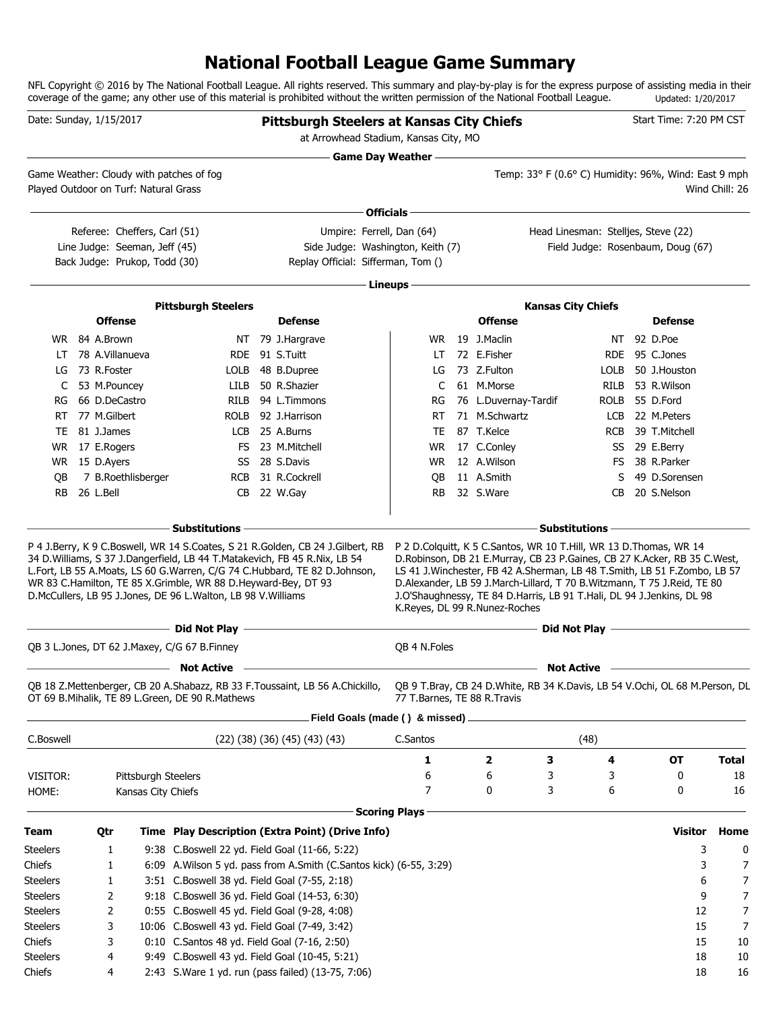# **National Football League Game Summary**

NFL Copyright © 2016 by The National Football League. All rights reserved. This summary and play-by-play is for the express purpose of assisting media in their coverage of the game; any other use of this material is prohibited without the written permission of the National Football League. Updated: 1/20/2017

| Date: Sunday, 1/15/2017               |                 |                                                                                                |                                                                                                                               | <b>Pittsburgh Steelers at Kansas City Chiefs</b><br>at Arrowhead Stadium, Kansas City, MO                                                                  |                           |                               |   |                           | Start Time: 7:20 PM CST                                                                                                                                                                                                                                                                                      |                |
|---------------------------------------|-----------------|------------------------------------------------------------------------------------------------|-------------------------------------------------------------------------------------------------------------------------------|------------------------------------------------------------------------------------------------------------------------------------------------------------|---------------------------|-------------------------------|---|---------------------------|--------------------------------------------------------------------------------------------------------------------------------------------------------------------------------------------------------------------------------------------------------------------------------------------------------------|----------------|
| Played Outdoor on Turf: Natural Grass |                 |                                                                                                | Game Weather: Cloudy with patches of fog                                                                                      |                                                                                                                                                            | <b>Game Day Weather —</b> |                               |   |                           | Temp: 33° F (0.6° C) Humidity: 96%, Wind: East 9 mph                                                                                                                                                                                                                                                         | Wind Chill: 26 |
|                                       |                 |                                                                                                |                                                                                                                               |                                                                                                                                                            | Officials -               |                               |   |                           |                                                                                                                                                                                                                                                                                                              |                |
|                                       |                 | Referee: Cheffers, Carl (51)<br>Line Judge: Seeman, Jeff (45)<br>Back Judge: Prukop, Todd (30) |                                                                                                                               | Umpire: Ferrell, Dan (64)<br>Side Judge: Washington, Keith (7)<br>Replay Official: Sifferman, Tom ()                                                       |                           |                               |   |                           | Head Linesman: Stelljes, Steve (22)<br>Field Judge: Rosenbaum, Doug (67)                                                                                                                                                                                                                                     |                |
|                                       |                 |                                                                                                |                                                                                                                               |                                                                                                                                                            |                           |                               |   |                           |                                                                                                                                                                                                                                                                                                              |                |
|                                       |                 |                                                                                                |                                                                                                                               |                                                                                                                                                            | Lineups -                 |                               |   |                           |                                                                                                                                                                                                                                                                                                              |                |
|                                       | <b>Offense</b>  |                                                                                                | <b>Pittsburgh Steelers</b>                                                                                                    | <b>Defense</b>                                                                                                                                             |                           | <b>Offense</b>                |   | <b>Kansas City Chiefs</b> | <b>Defense</b>                                                                                                                                                                                                                                                                                               |                |
|                                       | WR 84 A.Brown   |                                                                                                |                                                                                                                               | NT 79 J.Hargrave                                                                                                                                           |                           | WR 19 J.Maclin                |   | NT.                       | 92 D.Poe                                                                                                                                                                                                                                                                                                     |                |
| LT                                    | 78 A.Villanueva |                                                                                                |                                                                                                                               | RDE 91 S.Tuitt                                                                                                                                             | LT                        | 72 E.Fisher                   |   | RDE.                      | 95 C.Jones                                                                                                                                                                                                                                                                                                   |                |
| LG                                    | 73 R.Foster     |                                                                                                |                                                                                                                               | LOLB 48 B.Dupree                                                                                                                                           | LG                        | 73 Z.Fulton                   |   | <b>LOLB</b>               | 50 J.Houston                                                                                                                                                                                                                                                                                                 |                |
| C                                     | 53 M.Pouncey    |                                                                                                |                                                                                                                               | LILB 50 R.Shazier                                                                                                                                          | C                         | 61 M.Morse                    |   | RILB                      | 53 R.Wilson                                                                                                                                                                                                                                                                                                  |                |
| RG                                    | 66 D.DeCastro   |                                                                                                | RILB                                                                                                                          | 94 L.Timmons                                                                                                                                               | RG                        | 76 L.Duvernay-Tardif          |   | ROLB                      | 55 D.Ford                                                                                                                                                                                                                                                                                                    |                |
| RT.                                   | 77 M.Gilbert    |                                                                                                | rolb                                                                                                                          | 92 J.Harrison                                                                                                                                              | RT                        | 71 M.Schwartz                 |   | LCB                       | 22 M.Peters                                                                                                                                                                                                                                                                                                  |                |
| TE                                    | 81 J.James      |                                                                                                |                                                                                                                               | LCB 25 A.Burns                                                                                                                                             | TE                        | 87 T.Kelce                    |   | <b>RCB</b>                | 39 T.Mitchell                                                                                                                                                                                                                                                                                                |                |
| WR.                                   | 17 E.Rogers     |                                                                                                |                                                                                                                               | FS 23 M.Mitchell                                                                                                                                           | WR                        | 17 C.Conley                   |   |                           | SS 29 E.Berry                                                                                                                                                                                                                                                                                                |                |
|                                       | WR 15 D.Ayers   |                                                                                                |                                                                                                                               | SS 28 S.Davis                                                                                                                                              | <b>WR</b>                 | 12 A.Wilson                   |   | FS                        | 38 R.Parker                                                                                                                                                                                                                                                                                                  |                |
| OВ                                    |                 | 7 B.Roethlisberger                                                                             |                                                                                                                               | RCB 31 R.Cockrell                                                                                                                                          | QB                        | 11 A.Smith                    |   | S                         | 49 D.Sorensen                                                                                                                                                                                                                                                                                                |                |
| <b>RB</b>                             | 26 L.Bell       |                                                                                                |                                                                                                                               | CB 22 W.Gay                                                                                                                                                | RB.                       | 32 S.Ware                     |   | CВ                        | 20 S.Nelson                                                                                                                                                                                                                                                                                                  |                |
|                                       |                 |                                                                                                |                                                                                                                               |                                                                                                                                                            |                           |                               |   | <b>Substitutions</b>      |                                                                                                                                                                                                                                                                                                              |                |
|                                       |                 |                                                                                                | WR 83 C.Hamilton, TE 85 X.Grimble, WR 88 D.Heyward-Bey, DT 93<br>D.McCullers, LB 95 J.Jones, DE 96 L.Walton, LB 98 V.Williams | 34 D. Williams, S 37 J. Dangerfield, LB 44 T. Matakevich, FB 45 R. Nix, LB 54<br>L.Fort, LB 55 A.Moats, LS 60 G.Warren, C/G 74 C.Hubbard, TE 82 D.Johnson, |                           | K.Reyes, DL 99 R.Nunez-Roches |   |                           | D.Robinson, DB 21 E.Murray, CB 23 P.Gaines, CB 27 K.Acker, RB 35 C.West,<br>LS 41 J. Winchester, FB 42 A. Sherman, LB 48 T. Smith, LB 51 F. Zombo, LB 57<br>D.Alexander, LB 59 J.March-Lillard, T 70 B.Witzmann, T 75 J.Reid, TE 80<br>J.O'Shaughnessy, TE 84 D.Harris, LB 91 T.Hali, DL 94 J.Jenkins, DL 98 |                |
|                                       |                 |                                                                                                |                                                                                                                               |                                                                                                                                                            |                           |                               |   | Did Not Play -            |                                                                                                                                                                                                                                                                                                              |                |
|                                       |                 |                                                                                                | QB 3 L.Jones, DT 62 J.Maxey, C/G 67 B.Finney                                                                                  |                                                                                                                                                            | QB 4 N.Foles              |                               |   |                           |                                                                                                                                                                                                                                                                                                              |                |
|                                       |                 |                                                                                                | <b>Not Active</b>                                                                                                             |                                                                                                                                                            |                           |                               |   | <b>Not Active</b>         |                                                                                                                                                                                                                                                                                                              |                |
|                                       |                 |                                                                                                | OT 69 B. Mihalik, TE 89 L. Green, DE 90 R. Mathews                                                                            | QB 18 Z.Mettenberger, CB 20 A.Shabazz, RB 33 F.Toussaint, LB 56 A.Chickillo,                                                                               |                           | 77 T.Barnes, TE 88 R.Travis   |   |                           | QB 9 T.Bray, CB 24 D.White, RB 34 K.Davis, LB 54 V.Ochi, OL 68 M.Person, DL                                                                                                                                                                                                                                  |                |
|                                       |                 |                                                                                                |                                                                                                                               | Field Goals (made () & missed).                                                                                                                            |                           |                               |   |                           |                                                                                                                                                                                                                                                                                                              |                |
| C.Boswell                             |                 |                                                                                                |                                                                                                                               | $(22)$ $(38)$ $(36)$ $(45)$ $(43)$ $(43)$                                                                                                                  | C.Santos                  |                               |   | (48)                      |                                                                                                                                                                                                                                                                                                              |                |
|                                       |                 |                                                                                                |                                                                                                                               |                                                                                                                                                            | 1                         | 2                             | З | 4                         | <b>OT</b>                                                                                                                                                                                                                                                                                                    | <b>Total</b>   |
| VISITOR:                              |                 | Pittsburgh Steelers                                                                            |                                                                                                                               |                                                                                                                                                            | 6                         | 6                             | 3 | 3                         | 0                                                                                                                                                                                                                                                                                                            | 18             |
| HOME:                                 |                 | Kansas City Chiefs                                                                             |                                                                                                                               |                                                                                                                                                            | 7                         | 0                             | 3 | 6                         | 0                                                                                                                                                                                                                                                                                                            | 16             |
|                                       |                 |                                                                                                |                                                                                                                               |                                                                                                                                                            | <b>Scoring Plays</b>      |                               |   |                           |                                                                                                                                                                                                                                                                                                              |                |
| Team                                  | Qtr             |                                                                                                |                                                                                                                               | Time Play Description (Extra Point) (Drive Info)                                                                                                           |                           |                               |   |                           | <b>Visitor</b>                                                                                                                                                                                                                                                                                               | Home           |
| <b>Steelers</b>                       | 1               |                                                                                                |                                                                                                                               | 9:38 C.Boswell 22 yd. Field Goal (11-66, 5:22)                                                                                                             |                           |                               |   |                           | 3                                                                                                                                                                                                                                                                                                            | 0              |
| Chiefs                                | 1               |                                                                                                |                                                                                                                               | 6:09 A. Wilson 5 yd. pass from A. Smith (C. Santos kick) (6-55, 3:29)                                                                                      |                           |                               |   |                           | 3                                                                                                                                                                                                                                                                                                            | 7              |
| <b>Steelers</b>                       | 1               |                                                                                                | 3:51 C.Boswell 38 yd. Field Goal (7-55, 2:18)                                                                                 |                                                                                                                                                            |                           |                               |   |                           | 6                                                                                                                                                                                                                                                                                                            | 7              |
| <b>Steelers</b>                       | 2               |                                                                                                |                                                                                                                               | 9:18 C.Boswell 36 yd. Field Goal (14-53, 6:30)                                                                                                             |                           |                               |   |                           | 9                                                                                                                                                                                                                                                                                                            | 7              |
| <b>Steelers</b>                       | 2               |                                                                                                | 0:55 C.Boswell 45 yd. Field Goal (9-28, 4:08)                                                                                 |                                                                                                                                                            |                           |                               |   |                           | 12                                                                                                                                                                                                                                                                                                           | 7              |
| <b>Steelers</b>                       | 3               |                                                                                                | 10:06 C.Boswell 43 yd. Field Goal (7-49, 3:42)                                                                                |                                                                                                                                                            |                           |                               |   |                           | 15                                                                                                                                                                                                                                                                                                           | 7              |
| Chiefs                                | 3               |                                                                                                | 0:10 C.Santos 48 yd. Field Goal (7-16, 2:50)                                                                                  |                                                                                                                                                            |                           |                               |   |                           | 15                                                                                                                                                                                                                                                                                                           | 10             |
| <b>Steelers</b>                       | 4               |                                                                                                |                                                                                                                               | 9:49 C.Boswell 43 yd. Field Goal (10-45, 5:21)                                                                                                             |                           |                               |   |                           | 18                                                                                                                                                                                                                                                                                                           | 10             |
| Chiefs                                | 4               |                                                                                                |                                                                                                                               | 2:43 S. Ware 1 yd. run (pass failed) (13-75, 7:06)                                                                                                         |                           |                               |   |                           | 18                                                                                                                                                                                                                                                                                                           | 16             |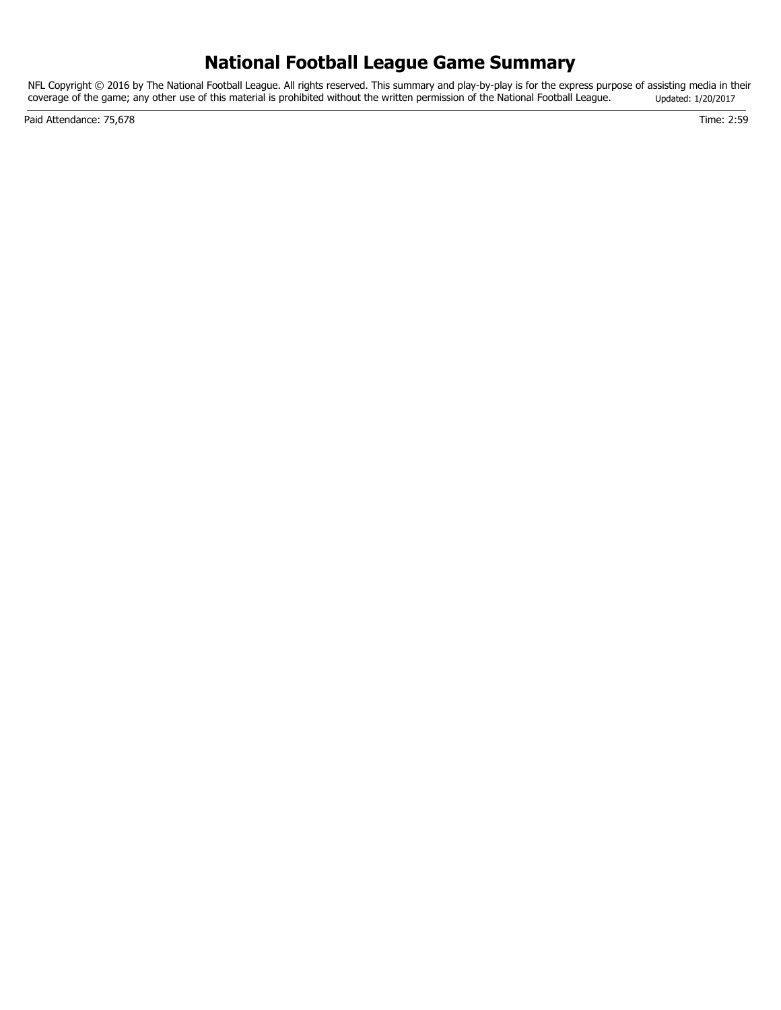# **National Football League Game Summary**

NFL Copyright © 2016 by The National Football League. All rights reserved. This summary and play-by-play is for the express purpose of assisting media in their coverage of the game; any other use of this material is prohibited without the written permission of the National Football League. Updated: 1/20/2017

Paid Attendance: 75,678 Time: 2:59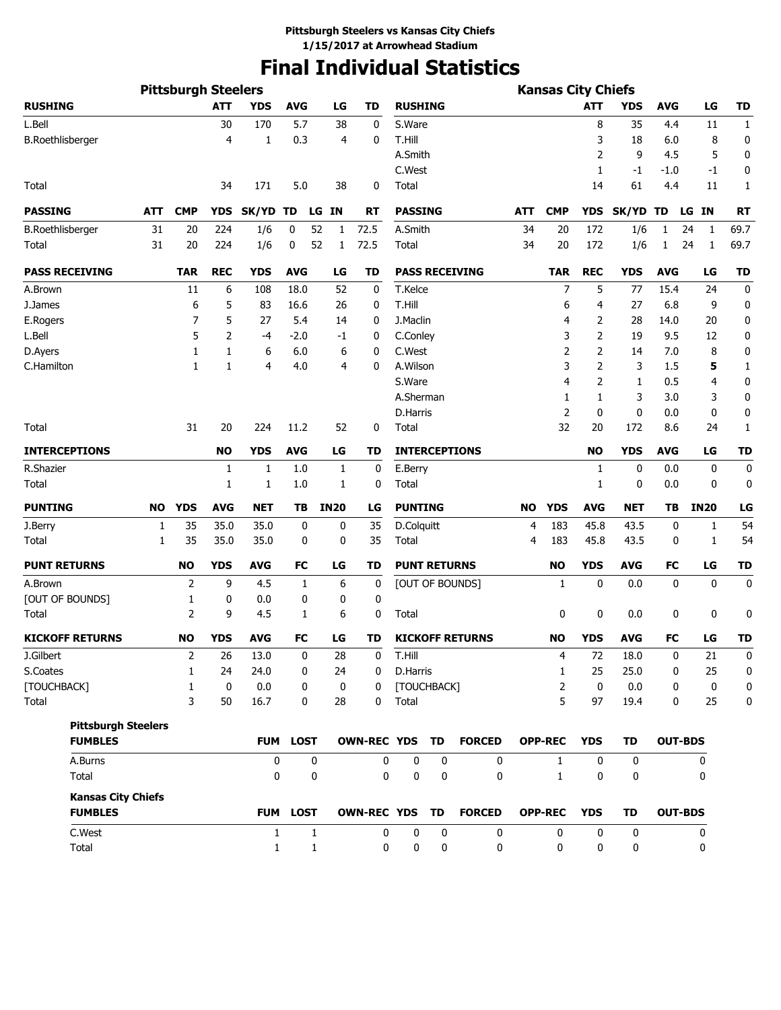# **Final Individual Statistics**

|                            |     | <b>Pittsburgh Steelers</b> |            |              |                 |                  |                       |                     |             |                        |            | <b>Kansas City Chiefs</b> |                |              |                |                |              |
|----------------------------|-----|----------------------------|------------|--------------|-----------------|------------------|-----------------------|---------------------|-------------|------------------------|------------|---------------------------|----------------|--------------|----------------|----------------|--------------|
| <b>RUSHING</b>             |     |                            | <b>ATT</b> | <b>YDS</b>   | <b>AVG</b>      | LG               | TD                    | <b>RUSHING</b>      |             |                        |            |                           | <b>ATT</b>     | <b>YDS</b>   | <b>AVG</b>     | LG             | TD           |
| L.Bell                     |     |                            | 30         | 170          | 5.7             | 38               | 0                     | S.Ware              |             |                        |            |                           | 8              | 35           | 4.4            | 11             | 1            |
| <b>B.Roethlisberger</b>    |     |                            | 4          | 1            | 0.3             | 4                | 0                     | T.Hill              |             |                        |            |                           | 3              | 18           | 6.0            | 8              | 0            |
|                            |     |                            |            |              |                 |                  |                       | A.Smith             |             |                        |            |                           | 2              | 9            | 4.5            | 5              | 0            |
|                            |     |                            |            |              |                 |                  |                       | C.West              |             |                        |            |                           | 1              | -1           | $-1.0$         | $-1$           | 0            |
| Total                      |     |                            | 34         | 171          | 5.0             | 38               | 0                     | Total               |             |                        |            |                           | 14             | 61           | 4.4            | 11             | 1            |
| <b>PASSING</b>             | ATT | <b>CMP</b>                 | <b>YDS</b> | SK/YD TD     |                 | LG IN            | <b>RT</b>             | <b>PASSING</b>      |             |                        | <b>ATT</b> | <b>CMP</b>                | <b>YDS</b>     | SK/YD TD     |                | LG IN          | <b>RT</b>    |
| <b>B.Roethlisberger</b>    | 31  | 20                         | 224        | 1/6          | 0<br>52         | 1                | 72.5                  | A.Smith             |             |                        | 34         | 20                        | 172            | 1/6          | 1              | 24<br>1        | 69.7         |
| Total                      | 31  | 20                         | 224        | 1/6          | 52<br>0         | 1                | 72.5                  | Total               |             |                        | 34         | 20                        | 172            | 1/6          | 1              | 24<br>1        | 69.7         |
| <b>PASS RECEIVING</b>      |     | <b>TAR</b>                 | <b>REC</b> | <b>YDS</b>   | <b>AVG</b>      | LG               | TD                    |                     |             | <b>PASS RECEIVING</b>  |            | <b>TAR</b>                | <b>REC</b>     | <b>YDS</b>   | <b>AVG</b>     | LG             | <b>TD</b>    |
| A.Brown                    |     | 11                         | 6          | 108          | 18.0            | 52               | 0                     | T.Kelce             |             |                        |            | 7                         | 5              | 77           | 15.4           | 24             | 0            |
| J.James                    |     | 6                          | 5          | 83           | 16.6            | 26               | 0                     | T.Hill              |             |                        |            | 6                         | 4              | 27           | 6.8            | 9              | 0            |
| E.Rogers                   |     | 7                          | 5          | 27           | 5.4             | 14               | 0                     | J.Maclin            |             |                        |            | 4                         | 2              | 28           | 14.0           | 20             | 0            |
| L.Bell                     |     | 5                          | 2          | -4           | $-2.0$          | -1               | 0                     | C.Conley            |             |                        |            | 3                         | 2              | 19           | 9.5            | 12             | 0            |
| D.Ayers                    |     | 1                          | 1          | 6            | 6.0             | 6                | 0                     | C.West              |             |                        |            | 2                         | 2              | 14           | 7.0            | 8              | 0            |
| C.Hamilton                 |     | 1                          | 1          | 4            | 4.0             | 4                | 0                     | A.Wilson            |             |                        |            | 3                         | 2              | 3            | 1.5            | 5              | 1            |
|                            |     |                            |            |              |                 |                  |                       | S.Ware              |             |                        |            | 4                         | $\overline{2}$ | $\mathbf{1}$ | 0.5            | 4              | 0            |
|                            |     |                            |            |              |                 |                  |                       | A.Sherman           |             |                        |            | 1                         | 1              | 3            | 3.0            | 3              | 0            |
|                            |     |                            |            |              |                 |                  |                       | D.Harris            |             |                        |            | $\overline{2}$            | 0              | 0            | 0.0            | 0              | 0            |
| Total                      |     | 31                         | 20         | 224          | 11.2            | 52               | 0                     | Total               |             |                        |            | 32                        | 20             | 172          | 8.6            | 24             | $\mathbf{1}$ |
| <b>INTERCEPTIONS</b>       |     |                            | <b>NO</b>  | <b>YDS</b>   | <b>AVG</b>      | LG               | TD                    |                     |             | <b>INTERCEPTIONS</b>   |            |                           | <b>NO</b>      | <b>YDS</b>   | <b>AVG</b>     | LG             | TD           |
| R.Shazier                  |     |                            | 1          | 1            | 1.0             | 1                | 0                     | E.Berry             |             |                        |            |                           | 1              | 0            | 0.0            | 0              | 0            |
| Total                      |     |                            | 1          | 1            | 1.0             | 1                | 0                     | Total               |             |                        |            |                           | 1              | 0            | 0.0            | 0              | 0            |
| <b>PUNTING</b>             | NO  | <b>YDS</b>                 | <b>AVG</b> | <b>NET</b>   | TB              | <b>IN20</b>      | LG                    | <b>PUNTING</b>      |             |                        | <b>NO</b>  | <b>YDS</b>                | <b>AVG</b>     | NET          | TΒ             | <b>IN20</b>    | LG           |
| J.Berry                    | 1   | 35                         | 35.0       | 35.0         | 0               | 0                | 35                    | D.Colquitt          |             |                        | 4          | 183                       | 45.8           | 43.5         | 0              | 1              | 54           |
| Total                      | 1   | 35                         | 35.0       | 35.0         | 0               | 0                | 35                    | Total               |             |                        | 4          | 183                       | 45.8           | 43.5         | 0              | 1              | 54           |
| <b>PUNT RETURNS</b>        |     | <b>NO</b>                  | <b>YDS</b> | <b>AVG</b>   | <b>FC</b>       | LG               | TD                    | <b>PUNT RETURNS</b> |             |                        |            | <b>NO</b>                 | <b>YDS</b>     | <b>AVG</b>   | FC             | LG             | <b>TD</b>    |
| A.Brown                    |     | 2                          | 9          | 4.5          | 1               | 6                | 0                     |                     |             | [OUT OF BOUNDS]        |            | 1                         | 0              | 0.0          | 0              | 0              | 0            |
| [OUT OF BOUNDS]            |     | 1                          | 0          | 0.0          | 0               | 0                | 0                     |                     |             |                        |            |                           |                |              |                |                |              |
| Total                      |     | $\overline{2}$             | 9          | 4.5          | 1               | 6                | 0                     | Total               |             |                        |            | 0                         | 0              | 0.0          | 0              | 0              | 0            |
| <b>KICKOFF RETURNS</b>     |     | <b>NO</b>                  | <b>YDS</b> | <b>AVG</b>   | <b>FC</b>       | LG               | TD                    |                     |             | <b>KICKOFF RETURNS</b> |            | <b>NO</b>                 | <b>YDS</b>     | <b>AVG</b>   | FC             | LG             | <b>TD</b>    |
| J.Gilbert                  |     | $\overline{2}$             | 26         | 13.0         | 0               | 28               | 0                     | T.Hill              |             |                        |            | 4                         | 72             | 18.0         | 0              | 21             | $\Omega$     |
| S.Coates                   |     | 1                          | 24         | 24.0         | 0               | 24               | 0                     | D.Harris            |             |                        |            | 1                         | 25             | 25.0         | 0              | 25             | 0            |
| [TOUCHBACK]                |     | 1                          | 0          | 0.0          | 0               | $\boldsymbol{0}$ | 0                     | [TOUCHBACK]         |             |                        |            | 2                         | 0              | 0.0          | 0              | $\mathbf 0$    | 0            |
| Total                      |     | 3                          | 50         | 16.7         | 0               | 28               | 0                     | Total               |             |                        |            | 5                         | 97             | 19.4         | 0              | 25             | 0            |
| <b>Pittsburgh Steelers</b> |     |                            |            |              |                 |                  |                       |                     |             |                        |            |                           |                |              |                |                |              |
| <b>FUMBLES</b>             |     |                            |            |              | FUM LOST        |                  | OWN-REC YDS TD        |                     |             | <b>FORCED</b>          |            | <b>OPP-REC</b>            | <b>YDS</b>     | TD           |                | <b>OUT-BDS</b> |              |
| A.Burns                    |     |                            |            | 0            | 0               |                  | 0                     | 0                   | 0           | 0                      |            | $\mathbf{1}$              | 0              | 0            |                | 0              |              |
| Total                      |     |                            |            | 0            | 0               |                  | 0                     | $\mathbf 0$         | 0           | $\mathbf{0}$           |            | $\mathbf{1}$              | 0              | 0            |                | 0              |              |
| <b>Kansas City Chiefs</b>  |     |                            |            |              |                 |                  |                       |                     |             |                        |            |                           |                |              |                |                |              |
| <b>FUMBLES</b>             |     |                            |            |              | <b>FUM LOST</b> |                  | <b>OWN-REC YDS TD</b> |                     |             | <b>FORCED</b>          |            | <b>OPP-REC</b>            | <b>YDS</b>     | TD           | <b>OUT-BDS</b> |                |              |
| C.West                     |     |                            |            | $\mathbf{1}$ | $\mathbf{1}$    |                  | 0                     | $\mathbf 0$         | $\mathbf 0$ | $\mathbf 0$            |            | $\mathbf 0$               | $\mathbf{0}$   | $\mathbf 0$  |                | 0              |              |
| Total                      |     |                            |            | $\mathbf{1}$ | $\mathbf{1}$    |                  | 0                     | 0                   | 0           | 0                      |            | 0                         | 0              | 0            |                | 0              |              |
|                            |     |                            |            |              |                 |                  |                       |                     |             |                        |            |                           |                |              |                |                |              |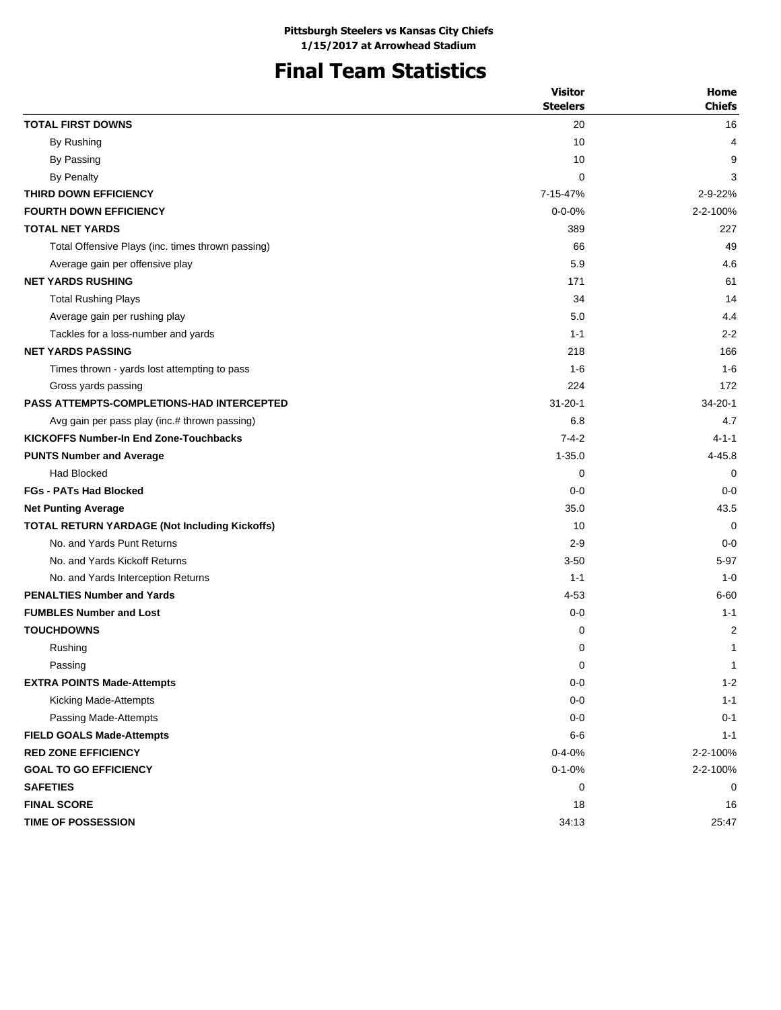### **Final Team Statistics**

|                                                      | <b>Visitor</b>  | Home          |
|------------------------------------------------------|-----------------|---------------|
|                                                      | <b>Steelers</b> | <b>Chiefs</b> |
| <b>TOTAL FIRST DOWNS</b>                             | 20              | 16            |
| By Rushing                                           | 10              | 4             |
| By Passing                                           | 10              | 9             |
| <b>By Penalty</b>                                    | $\mathbf 0$     | 3             |
| THIRD DOWN EFFICIENCY                                | 7-15-47%        | 2-9-22%       |
| <b>FOURTH DOWN EFFICIENCY</b>                        | $0 - 0 - 0%$    | 2-2-100%      |
| <b>TOTAL NET YARDS</b>                               | 389             | 227           |
| Total Offensive Plays (inc. times thrown passing)    | 66              | 49            |
| Average gain per offensive play                      | 5.9             | 4.6           |
| <b>NET YARDS RUSHING</b>                             | 171             | 61            |
| <b>Total Rushing Plays</b>                           | 34              | 14            |
| Average gain per rushing play                        | 5.0             | 4.4           |
| Tackles for a loss-number and yards                  | $1 - 1$         | $2 - 2$       |
| <b>NET YARDS PASSING</b>                             | 218             | 166           |
| Times thrown - yards lost attempting to pass         | $1 - 6$         | $1 - 6$       |
| Gross yards passing                                  | 224             | 172           |
| <b>PASS ATTEMPTS-COMPLETIONS-HAD INTERCEPTED</b>     | $31 - 20 - 1$   | $34 - 20 - 1$ |
| Avg gain per pass play (inc.# thrown passing)        | 6.8             | 4.7           |
| <b>KICKOFFS Number-In End Zone-Touchbacks</b>        | $7 - 4 - 2$     | $4 - 1 - 1$   |
| <b>PUNTS Number and Average</b>                      | $1 - 35.0$      | 4-45.8        |
| <b>Had Blocked</b>                                   | 0               | 0             |
| <b>FGs - PATs Had Blocked</b>                        | $0 - 0$         | $0 - 0$       |
| <b>Net Punting Average</b>                           | 35.0            | 43.5          |
| <b>TOTAL RETURN YARDAGE (Not Including Kickoffs)</b> | 10              | $\Omega$      |
| No. and Yards Punt Returns                           | $2 - 9$         | $0 - 0$       |
| No. and Yards Kickoff Returns                        | $3 - 50$        | $5 - 97$      |
| No. and Yards Interception Returns                   | $1 - 1$         | $1 - 0$       |
| <b>PENALTIES Number and Yards</b>                    | $4 - 53$        | 6-60          |
| <b>FUMBLES Number and Lost</b>                       | $0-0$           | $1 - 1$       |
| <b>TOUCHDOWNS</b>                                    | 0               | 2             |
| Rushing                                              | 0               | 1             |
| Passing                                              | 0               | $\mathbf{1}$  |
| <b>EXTRA POINTS Made-Attempts</b>                    | $0-0$           | $1 - 2$       |
| Kicking Made-Attempts                                | $0-0$           | $1 - 1$       |
| Passing Made-Attempts                                | $0-0$           | $0 - 1$       |
| <b>FIELD GOALS Made-Attempts</b>                     | $6-6$           | $1 - 1$       |
| <b>RED ZONE EFFICIENCY</b>                           | $0 - 4 - 0%$    | 2-2-100%      |
| <b>GOAL TO GO EFFICIENCY</b>                         | $0 - 1 - 0%$    | 2-2-100%      |
| <b>SAFETIES</b>                                      | 0               | 0             |
| <b>FINAL SCORE</b>                                   | 18              | 16            |
| <b>TIME OF POSSESSION</b>                            | 34:13           | 25:47         |
|                                                      |                 |               |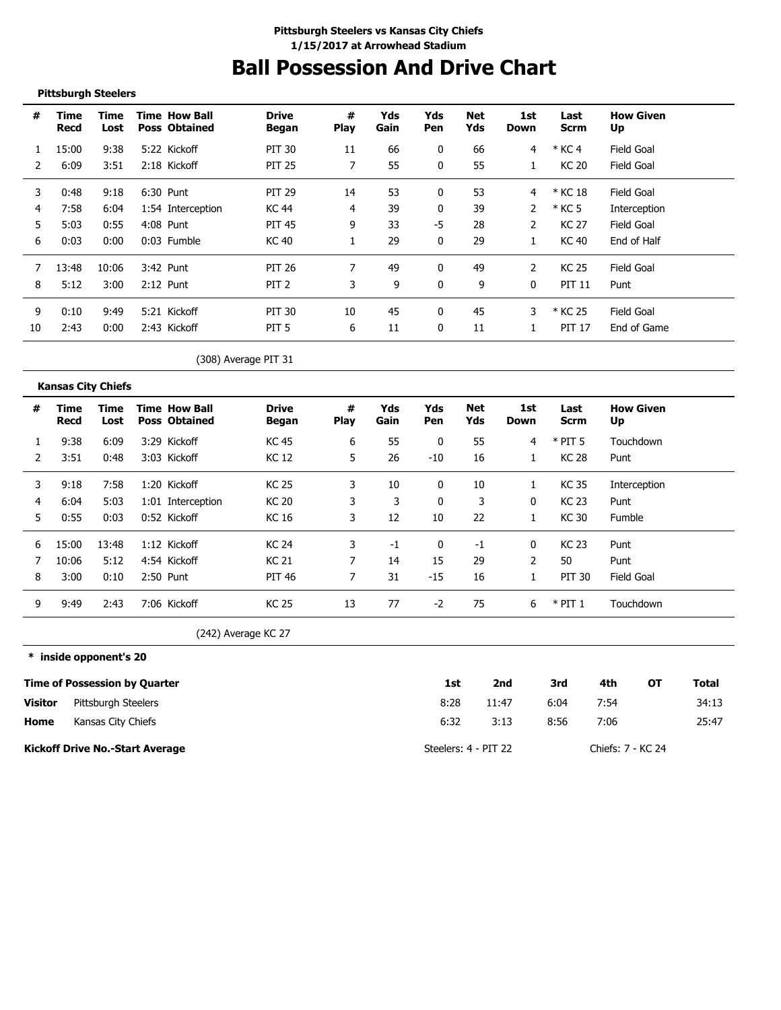# **Ball Possession And Drive Chart**

#### **Pittsburgh Steelers**

---------------------

| #  | Time<br>Recd | Time<br>Lost | <b>Time How Ball</b><br><b>Poss Obtained</b> | <b>Drive</b><br>Began | #<br><b>Play</b> | Yds<br>Gain | Yds<br>Pen   | Net<br>Yds | 1st<br>Down | Last<br>Scrm  | <b>How Given</b><br>Up |
|----|--------------|--------------|----------------------------------------------|-----------------------|------------------|-------------|--------------|------------|-------------|---------------|------------------------|
|    | 15:00        | 9:38         | 5:22 Kickoff                                 | PIT 30                | 11               | 66          | $\bf{0}$     | 66         | 4           | $*$ KC 4      | Field Goal             |
|    | 6:09         | 3:51         | 2:18 Kickoff                                 | <b>PIT 25</b>         |                  | 55          | $\mathbf{0}$ | 55         |             | KC 20         | Field Goal             |
| 3  | 0:48         | 9:18         | 6:30 Punt                                    | <b>PIT 29</b>         | 14               | 53          | 0            | 53         | 4           | * KC 18       | Field Goal             |
| 4  | 7:58         | 6:04         | 1:54 Interception                            | KC 44                 | 4                | 39          | C            | 39         |             | * KC 5        | Interception           |
| 5  | 5:03         | 0:55         | 4:08 Punt                                    | <b>PIT 45</b>         | 9                | 33          | $-5$         | 28         | 2           | KC 27         | Field Goal             |
| 6  | 0:03         | 0:00         | 0:03 Fumble                                  | KC 40                 |                  | 29          | 0            | 29         |             | KC 40         | End of Half            |
|    | 13:48        | 10:06        | 3:42 Punt                                    | PIT 26                |                  | 49          | 0            | 49         | 2           | KC 25         | Field Goal             |
| 8  | 5:12         | 3:00         | $2:12$ Punt                                  | PIT <sub>2</sub>      | 3                | 9           | $\Omega$     | 9          | 0           | <b>PIT 11</b> | Punt                   |
| 9  | 0:10         | 9:49         | 5:21 Kickoff                                 | PIT 30                | 10               | 45          | 0            | 45         |             | * KC 25       | Field Goal             |
| 10 | 2:43         | 0:00         | 2:43 Kickoff                                 | PIT <sub>5</sub>      | 6                | 11          | $\Omega$     | 11         |             | <b>PIT 17</b> | End of Game            |

### (308) Average PIT 31

|   | <b>Kansas City Chiefs</b> |              |                                              |                       |                  |             |            |            |             |              |                        |
|---|---------------------------|--------------|----------------------------------------------|-----------------------|------------------|-------------|------------|------------|-------------|--------------|------------------------|
| # | Time<br>Recd              | Time<br>Lost | <b>Time How Ball</b><br><b>Poss Obtained</b> | <b>Drive</b><br>Began | #<br><b>Play</b> | Yds<br>Gain | Yds<br>Pen | Net<br>Yds | 1st<br>Down | Last<br>Scrm | <b>How Given</b><br>Up |
|   | 9:38                      | 6:09         | 3:29 Kickoff                                 | KC 45                 | 6                | 55          | 0          | 55         | 4           | $*$ PIT 5    | Touchdown              |
|   | 3:51                      | 0:48         | 3:03 Kickoff                                 | KC 12                 | 5                | 26          | $-10$      | 16         |             | KC 28        | Punt                   |
| 3 | 9:18                      | 7:58         | 1:20 Kickoff                                 | <b>KC 25</b>          | 3                | 10          | 0          | 10         |             | <b>KC35</b>  | Interception           |
| 4 | 6:04                      | 5:03         | 1:01 Interception                            | <b>KC 20</b>          | 3                | 3           | 0          | 3          | 0           | <b>KC 23</b> | Punt                   |
| 5 | 0:55                      | 0:03         | 0:52 Kickoff                                 | KC 16                 | 3                | 12          | 10         | 22         |             | KC 30        | <b>Fumble</b>          |
| 6 | 15:00                     | 13:48        | 1:12 Kickoff                                 | <b>KC 24</b>          | 3                | -1          | 0          | -1         | 0           | KC 23        | Punt                   |
|   | 10:06                     | 5:12         | 4:54 Kickoff                                 | <b>KC 21</b>          |                  | 14          | 15         | 29         | 2           | 50           | Punt                   |
| 8 | 3:00                      | 0:10         | 2:50 Punt                                    | PIT 46                | 7                | 31          | $-15$      | 16         |             | PIT 30       | <b>Field Goal</b>      |
| 9 | 9:49                      | 2:43         | 7:06 Kickoff                                 | KC 25                 | 13               | 77          | $-2$       | 75         | 6           | $*$ PIT 1    | Touchdown              |

(242) Average KC 27

**\* inside opponent's 20**

|                | Time of Possession by Quarter          | 1st                  | 2nd   | 3rd  | 4th               | ΟТ | Total |
|----------------|----------------------------------------|----------------------|-------|------|-------------------|----|-------|
| <b>Visitor</b> | Pittsburgh Steelers                    | 8:28                 | 11:47 | 6:04 | 7:54              |    | 34:13 |
| Home           | Kansas City Chiefs                     | 6:32                 | 3:13  | 8:56 | 7:06              |    | 25:47 |
|                | <b>Kickoff Drive No.-Start Average</b> | Steelers: 4 - PIT 22 |       |      | Chiefs: 7 - KC 24 |    |       |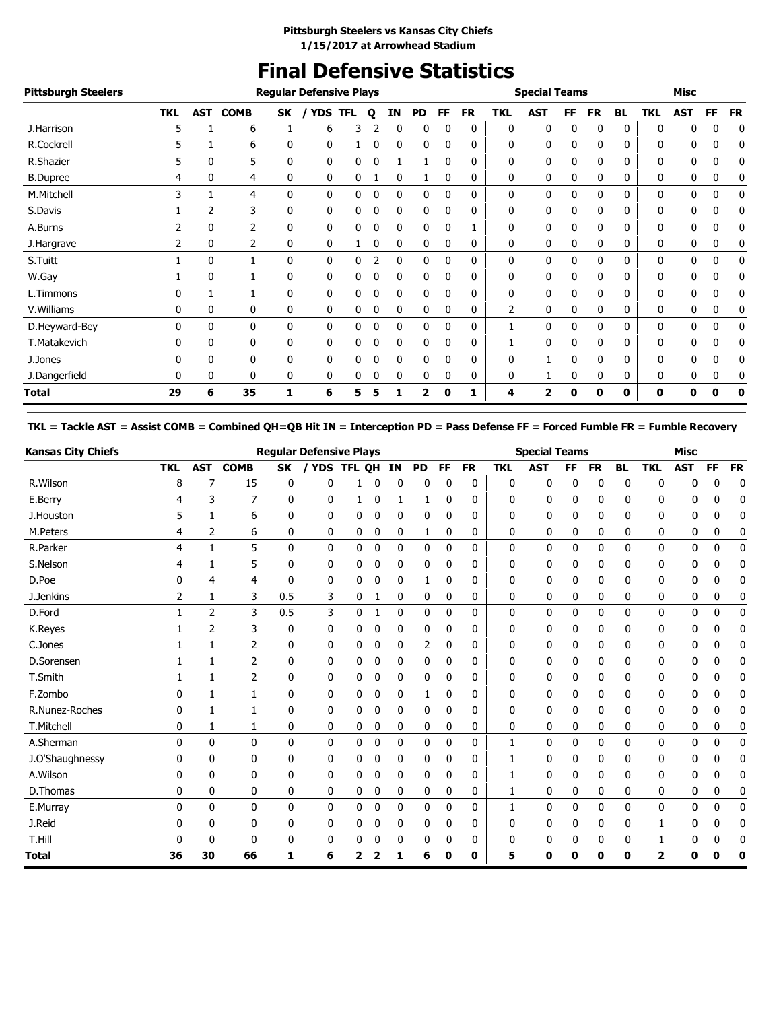### **Final Defensive Statistics**

| <b>Pittsburgh Steelers</b> |            |     |             |              | <b>Regular Defensive Plays</b> |   |   |    |           |          |           |            | <b>Special Teams</b> |              |              |              |            | <b>Misc</b>  |           |           |
|----------------------------|------------|-----|-------------|--------------|--------------------------------|---|---|----|-----------|----------|-----------|------------|----------------------|--------------|--------------|--------------|------------|--------------|-----------|-----------|
|                            | <b>TKL</b> | AST | <b>COMB</b> | SK           | <b>YDS TFL</b>                 |   | Q | ΙN | <b>PD</b> | FF       | <b>FR</b> | <b>TKL</b> | <b>AST</b>           | FF           | <b>FR</b>    | <b>BL</b>    | <b>TKL</b> | <b>AST</b>   | <b>FF</b> | <b>FR</b> |
| J.Harrison                 | 5          |     | 6           |              | 6                              | 3 |   | 0  | 0         | 0        | 0         | 0          | 0                    | 0            | 0            | 0            | 0          | 0            | 0         | 0         |
| R.Cockrell                 |            |     | 6           | 0            | 0                              |   | 0 | 0  | 0         | 0        | 0         | 0          | 0                    | 0            | 0            | 0            | 0          | 0            | 0         | 0         |
| R.Shazier                  |            | 0   | 5           | 0            | $\mathbf{0}$                   | 0 | 0 |    |           | 0        | 0         | 0          | 0                    | 0            | 0            | 0            | 0          | 0            | 0         | 0         |
| <b>B.Dupree</b>            | 4          | 0   | 4           | 0            | 0                              | 0 |   | 0  | 1         | 0        | 0         | 0          | 0                    | 0            | 0            | 0            | 0          | 0            | 0         | 0         |
| M.Mitchell                 | 3          |     | 4           | $\mathbf{0}$ | $\mathbf{0}$                   | 0 | 0 | 0  | 0         | 0        | 0         | 0          | 0                    | 0            | 0            | $\mathbf{0}$ | 0          | 0            | 0         | 0         |
| S.Davis                    |            |     | 3           | 0            | 0                              | 0 | 0 | 0  | 0         |          | 0         | 0          | 0                    | 0            | 0            | 0            | 0          | 0            | 0         | 0         |
| A.Burns                    |            | 0   | 2           | 0            | 0                              | 0 |   | 0  | 0         |          |           | 0          | 0                    | 0            | 0            | 0            | 0          | 0            | 0         | 0         |
| J.Hargrave                 | 2          | 0   | 2           | 0            | 0                              |   | 0 | 0  | 0         | 0        | 0         | 0          | 0                    | 0            | 0            | 0            | 0          | 0            | 0         | 0         |
| S.Tuitt                    |            | 0   |             | $\mathbf{0}$ | $\mathbf{0}$                   | 0 | 2 | 0  | 0         | 0        | 0         | 0          | 0                    | $\mathbf{0}$ | 0            | 0            | 0          | $\mathbf{0}$ | 0         | 0         |
| W.Gay                      |            | 0   |             | $\mathbf{0}$ | 0                              | 0 | 0 | 0  | 0         | $\Omega$ | 0         | 0          | 0                    | 0            | 0            | 0            | 0          | 0            | 0         | 0         |
| L.Timmons                  |            |     |             | 0            | 0                              | 0 | 0 | 0  | 0         | 0        | 0         | 0          | 0                    | 0            | 0            | 0            | 0          | 0            | 0         | 0         |
| V.Williams                 | 0          | 0   | 0           | 0            | 0                              | 0 | 0 | 0  | 0         | 0        | 0         | 2          | 0                    | 0            | 0            | 0            | 0          | 0            | 0         | 0         |
| D.Heyward-Bey              | 0          | 0   | 0           | 0            | 0                              | 0 | 0 | 0  | 0         | 0        | 0         |            | 0                    | 0            | $\mathbf{0}$ | 0            | 0          | 0            | 0         | 0         |
| T.Matakevich               | n          | 0   | 0           | 0            | 0                              | 0 | 0 | 0  | 0         | 0        | 0         |            | 0                    | 0            | 0            | 0            | 0          | 0            | 0         | 0         |
| J.Jones                    |            | 0   | 0           | 0            | 0                              | 0 | 0 | 0  | 0         |          | 0         | 0          |                      | 0            | 0            | 0            | 0          | 0            | 0         | 0         |
| J.Dangerfield              | 0          | 0   | 0           | 0            | 0                              | 0 |   | 0  | 0         | 0        | 0         | 0          |                      | 0            | 0            | 0            | 0          | 0            | 0         | 0         |
| <b>Total</b>               | 29         | 6   | 35          |              | 6                              | 5 |   |    | 7         | Ω        |           | 4          | 2                    | Ω            | 0            | 0            | 0          | 0            | Ω         | 0         |

**TKL = Tackle AST = Assist COMB = Combined QH=QB Hit IN = Interception PD = Pass Defense FF = Forced Fumble FR = Fumble Recovery**

| <b>Kansas City Chiefs</b> |            |              |                |              | <b>Regular Defensive Plays</b> |        |             |              |              |           |              |              | <b>Special Teams</b> |           |              |           |              | <b>Misc</b>  |              |           |
|---------------------------|------------|--------------|----------------|--------------|--------------------------------|--------|-------------|--------------|--------------|-----------|--------------|--------------|----------------------|-----------|--------------|-----------|--------------|--------------|--------------|-----------|
|                           | <b>TKL</b> | <b>AST</b>   | <b>COMB</b>    | <b>SK</b>    | <b>YDS</b>                     | TFL OH |             | IN           | <b>PD</b>    | <b>FF</b> | <b>FR</b>    | <b>TKL</b>   | <b>AST</b>           | <b>FF</b> | <b>FR</b>    | <b>BL</b> | <b>TKL</b>   | <b>AST</b>   | FF           | <b>FR</b> |
| R.Wilson                  | 8          |              | 15             | 0            | 0                              |        |             | 0            | 0            | 0         | 0            | 0            | 0                    | 0         | 0            | 0         | $\Omega$     | 0            | 0            | 0         |
| E.Berry                   |            | 3            | 7              | 0            | 0                              |        |             | -1           | 1            | 0         | 0            | 0            | 0                    | 0         | 0            | 0         | $\Omega$     | 0            | 0            | 0         |
| J.Houston                 | 5          | 1            | 6              | 0            | 0                              | 0      | 0           | 0            | 0            | 0         | 0            | 0            | 0                    | 0         | 0            | 0         | 0            | 0            | 0            | 0         |
| M.Peters                  | 4          | 2            | 6              | 0            | 0                              | 0      | 0           | 0            | 1            | 0         | 0            | 0            | 0                    | 0         | 0            | 0         | 0            | 0            | 0            | 0         |
| R.Parker                  | 4          | $\mathbf{1}$ | 5              | 0            | 0                              | 0      | $\mathbf 0$ | 0            | 0            | 0         | 0            | 0            | 0                    | 0         | 0            | 0         | $\mathbf 0$  | 0            | $\mathbf 0$  | 0         |
| S.Nelson                  |            |              | 5              | 0            | 0                              | 0      | 0           | 0            | 0            | 0         | 0            | 0            | 0                    | 0         | 0            | 0         | 0            | 0            | 0            | 0         |
| D.Poe                     | 0          | 4            | 4              | 0            | 0                              | 0      | 0           | 0            | 1            | 0         | 0            | 0            | 0                    | 0         | 0            | 0         | 0            | 0            | 0            | 0         |
| J.Jenkins                 | 2          | 1            | 3              | 0.5          | 3                              | 0      | 1           | 0            | 0            | 0         | 0            | 0            | 0                    | 0         | 0            | 0         | 0            | 0            | 0            | 0         |
| D.Ford                    |            | 2            | 3              | 0.5          | 3                              | 0      | 1           | $\mathbf 0$  | 0            | 0         | 0            | $\mathbf{0}$ | 0                    | 0         | $\mathbf{0}$ | 0         | 0            | 0            | $\mathbf 0$  | 0         |
| K.Reyes                   |            | 2            | 3              | 0            | 0                              | 0      | 0           | 0            | 0            | 0         | 0            | 0            | 0                    | 0         | 0            | 0         | 0            | 0            | 0            | 0         |
| C.Jones                   |            | 1            | 2              | 0            | 0                              | 0      | 0           | 0            | 2            | 0         | 0            | 0            | 0                    | 0         | 0            | 0         | 0            | 0            | 0            | 0         |
| D.Sorensen                |            | 1            | 2              | 0            | 0                              | 0      | 0           | 0            | 0            | 0         | 0            | 0            | 0                    | 0         | 0            | 0         | 0            | 0            | 0            | 0         |
| T.Smith                   | 1          | $\mathbf{1}$ | $\overline{2}$ | $\mathbf{0}$ | 0                              | 0      | 0           | 0            | 0            | 0         | $\mathbf{0}$ | $\mathbf{0}$ | 0                    | 0         | 0            | 0         | $\mathbf{0}$ | 0            | $\mathbf 0$  | 0         |
| F.Zombo                   |            | 1            | 1              | 0            | 0                              | 0      | 0           | 0            | 1            | 0         | 0            | 0            | 0                    | 0         | 0            | 0         | 0            | 0            | 0            | 0         |
| R.Nunez-Roches            |            | 1            | 1              | 0            | 0                              | 0      | 0           | 0            | 0            | 0         | 0            | 0            | 0                    | 0         | 0            | 0         | 0            | 0            | 0            | 0         |
| T.Mitchell                | 0          | 1            | 1              | 0            | 0                              | 0      | 0           | 0            | 0            | 0         | 0            | 0            | 0                    | 0         | 0            | 0         | 0            | 0            | 0            | 0         |
| A.Sherman                 | $\Omega$   | $\mathbf{0}$ | $\mathbf{0}$   | $\mathbf{0}$ | 0                              | 0      | $\mathbf 0$ | $\mathbf{0}$ | $\mathbf{0}$ | 0         | 0            | 1            | 0                    | 0         | $\mathbf{0}$ | 0         | $\mathbf{0}$ | $\mathbf{0}$ | $\mathbf{0}$ | 0         |
| J.O'Shaughnessy           | 0          | 0            | 0              | 0            | 0                              | 0      | 0           | 0            | 0            | 0         | 0            | 1            | 0                    | 0         | 0            | 0         | 0            | 0            | 0            | 0         |
| A.Wilson                  | 0          | 0            | 0              | 0            | 0                              | 0      | 0           | 0            | 0            | 0         | 0            | 1            | 0                    | 0         | 0            | 0         | 0            | 0            | 0            | 0         |
| D.Thomas                  | 0          | $\mathbf{0}$ | 0              | 0            | 0                              | 0      | 0           | 0            | 0            | 0         | 0            | 1            | 0                    | 0         | 0            | 0         | 0            | 0            | 0            | 0         |
| E.Murray                  | 0          | $\mathbf{0}$ | 0              | $\mathbf{0}$ | 0                              | 0      | 0           | $\mathbf{0}$ | $\mathbf{0}$ | 0         | 0            | 1            | $\mathbf{0}$         | 0         | $\mathbf{0}$ | 0         | 0            | $\Omega$     | 0            | 0         |
| J.Reid                    | 0          | 0            | 0              | 0            | 0                              | 0      |             | 0            | 0            | 0         | 0            | 0            | 0                    | 0         | 0            | 0         |              | 0            | 0            | 0         |
| T.Hill                    |            | 0            | 0              | 0            | 0                              | 0      |             | 0            | 0            | 0         | 0            | 0            | 0                    | 0         | 0            | 0         |              | 0            | 0            | 0         |
| <b>Total</b>              | 36         | 30           | 66             | 1            | 6                              | 2      |             | 1            | 6            | 0         | 0            | 5            | 0                    | ŋ         | ŋ            | 0         | 2            | Ω            |              | 0         |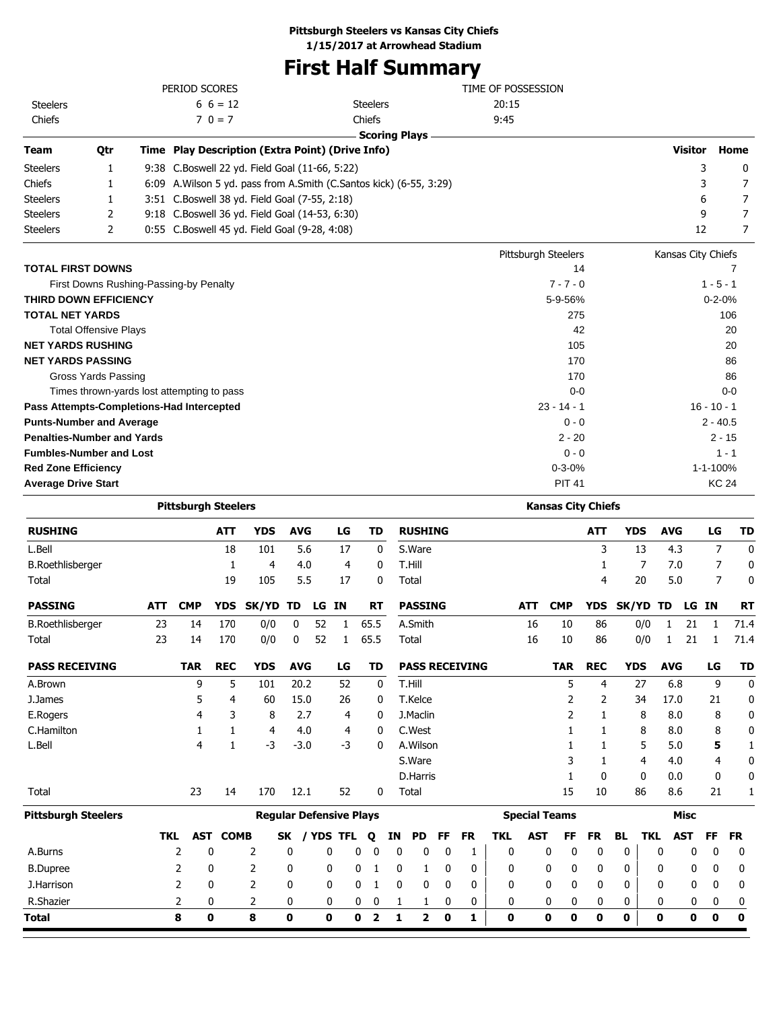# **First Half Summary**

|                                                          |     |          | PERIOD SCORES              |                      |                                                                       |                   |          |                   |                      |         |                  |         |                       | TIME OF POSSESSION |                 |                           |                |            |                 |                    |                          |                |
|----------------------------------------------------------|-----|----------|----------------------------|----------------------|-----------------------------------------------------------------------|-------------------|----------|-------------------|----------------------|---------|------------------|---------|-----------------------|--------------------|-----------------|---------------------------|----------------|------------|-----------------|--------------------|--------------------------|----------------|
| <b>Steelers</b>                                          |     |          |                            | $6\; 6 = 12$         |                                                                       |                   |          |                   | <b>Steelers</b>      |         |                  |         |                       | 20:15              |                 |                           |                |            |                 |                    |                          |                |
| Chiefs                                                   |     |          |                            | $70 = 7$             |                                                                       |                   |          |                   | Chiefs               |         |                  |         |                       | 9:45               |                 |                           |                |            |                 |                    |                          |                |
|                                                          |     |          |                            |                      |                                                                       |                   |          |                   | <b>Scoring Plays</b> |         |                  |         |                       |                    |                 |                           |                |            |                 |                    |                          |                |
| Team                                                     | Qtr |          |                            |                      | Time Play Description (Extra Point) (Drive Info)                      |                   |          |                   |                      |         |                  |         |                       |                    |                 |                           |                |            |                 | <b>Visitor</b>     |                          | Home           |
| Steelers                                                 | 1   |          |                            |                      | 9:38 C.Boswell 22 yd. Field Goal (11-66, 5:22)                        |                   |          |                   |                      |         |                  |         |                       |                    |                 |                           |                |            |                 |                    | 3                        | 0              |
| Chiefs                                                   | 1   |          |                            |                      | 6:09 A. Wilson 5 yd. pass from A. Smith (C. Santos kick) (6-55, 3:29) |                   |          |                   |                      |         |                  |         |                       |                    |                 |                           |                |            |                 |                    | 3                        | 7              |
| <b>Steelers</b>                                          | 1   |          |                            |                      | 3:51 C.Boswell 38 yd. Field Goal (7-55, 2:18)                         |                   |          |                   |                      |         |                  |         |                       |                    |                 |                           |                |            |                 |                    | 6                        | 7              |
| <b>Steelers</b>                                          | 2   |          |                            |                      | 9:18 C.Boswell 36 yd. Field Goal (14-53, 6:30)                        |                   |          |                   |                      |         |                  |         |                       |                    |                 |                           |                |            |                 |                    | 9                        | 7              |
| Steelers                                                 | 2   |          |                            |                      | 0:55 C.Boswell 45 yd. Field Goal (9-28, 4:08)                         |                   |          |                   |                      |         |                  |         |                       |                    |                 |                           |                |            |                 |                    | 12                       | 7              |
|                                                          |     |          |                            |                      |                                                                       |                   |          |                   |                      |         |                  |         |                       |                    |                 | Pittsburgh Steelers       |                |            |                 | Kansas City Chiefs |                          |                |
| <b>TOTAL FIRST DOWNS</b>                                 |     |          |                            |                      |                                                                       |                   |          |                   |                      |         |                  |         |                       |                    |                 | 14                        |                |            |                 |                    |                          | 7              |
| First Downs Rushing-Passing-by Penalty                   |     |          |                            |                      |                                                                       |                   |          |                   |                      |         |                  |         |                       |                    |                 | $7 - 7 - 0$               |                |            |                 |                    | $1 - 5 - 1$              |                |
| <b>THIRD DOWN EFFICIENCY</b>                             |     |          |                            |                      |                                                                       |                   |          |                   |                      |         |                  |         |                       |                    |                 | 5-9-56%                   |                |            |                 |                    | $0 - 2 - 0%$             |                |
| TOTAL NET YARDS                                          |     |          |                            |                      |                                                                       |                   |          |                   |                      |         |                  |         |                       |                    |                 | 275                       |                |            |                 |                    |                          | 106            |
| <b>Total Offensive Plays</b><br><b>NET YARDS RUSHING</b> |     |          |                            |                      |                                                                       |                   |          |                   |                      |         |                  |         |                       |                    |                 | 42                        |                |            |                 |                    |                          | 20             |
| <b>NET YARDS PASSING</b>                                 |     |          |                            |                      |                                                                       |                   |          |                   |                      |         |                  |         |                       |                    |                 | 105<br>170                |                |            |                 |                    |                          | 20             |
| <b>Gross Yards Passing</b>                               |     |          |                            |                      |                                                                       |                   |          |                   |                      |         |                  |         |                       |                    |                 | 170                       |                |            |                 |                    |                          | 86<br>86       |
| Times thrown-yards lost attempting to pass               |     |          |                            |                      |                                                                       |                   |          |                   |                      |         |                  |         |                       |                    |                 | $0 - 0$                   |                |            |                 |                    |                          | $0 - 0$        |
| Pass Attempts-Completions-Had Intercepted                |     |          |                            |                      |                                                                       |                   |          |                   |                      |         |                  |         |                       |                    |                 | $23 - 14 - 1$             |                |            |                 |                    | $16 - 10 - 1$            |                |
| <b>Punts-Number and Average</b>                          |     |          |                            |                      |                                                                       |                   |          |                   |                      |         |                  |         |                       |                    |                 | $0 - 0$                   |                |            |                 |                    | $2 - 40.5$               |                |
| <b>Penalties-Number and Yards</b>                        |     |          |                            |                      |                                                                       |                   |          |                   |                      |         |                  |         |                       |                    |                 | $2 - 20$                  |                |            |                 |                    | $2 - 15$                 |                |
| <b>Fumbles-Number and Lost</b>                           |     |          |                            |                      |                                                                       |                   |          |                   |                      |         |                  |         |                       |                    |                 | $0 - 0$                   |                |            |                 |                    |                          | $1 - 1$        |
| <b>Red Zone Efficiency</b>                               |     |          |                            |                      |                                                                       |                   |          |                   |                      |         |                  |         |                       |                    |                 | $0 - 3 - 0%$              |                |            |                 |                    | 1-1-100%                 |                |
| <b>Average Drive Start</b>                               |     |          |                            |                      |                                                                       |                   |          |                   |                      |         |                  |         |                       |                    |                 | <b>PIT 41</b>             |                |            |                 |                    | <b>KC 24</b>             |                |
|                                                          |     |          | <b>Pittsburgh Steelers</b> |                      |                                                                       |                   |          |                   |                      |         |                  |         |                       |                    |                 | <b>Kansas City Chiefs</b> |                |            |                 |                    |                          |                |
| <b>RUSHING</b>                                           |     |          |                            | <b>ATT</b>           | <b>YDS</b>                                                            | <b>AVG</b>        |          | LG                | TD                   |         | <b>RUSHING</b>   |         |                       |                    |                 |                           | ATT            | <b>YDS</b> | <b>AVG</b>      |                    | LG                       | TD             |
|                                                          |     |          |                            |                      |                                                                       |                   |          |                   |                      |         |                  |         |                       |                    |                 |                           |                |            |                 |                    |                          |                |
| L.Bell                                                   |     |          |                            | 18<br>1              | 101<br>4                                                              | 5.6<br>4.0        |          | 17<br>4           | 0<br>0               |         | S.Ware<br>T.Hill |         |                       |                    |                 |                           | 3<br>1         | 13<br>7    |                 | 4.3<br>7.0         | 7<br>7                   | 0<br>0         |
| <b>B.Roethlisberger</b><br>Total                         |     |          |                            | 19                   | 105                                                                   | 5.5               |          | 17                | 0                    |         | Total            |         |                       |                    |                 |                           | 4              | 20         |                 | 5.0                | 7                        | 0              |
|                                                          |     |          |                            |                      |                                                                       |                   |          |                   |                      |         |                  |         |                       |                    |                 |                           |                |            |                 |                    |                          |                |
| <b>PASSING</b>                                           |     | ATT      | <b>CMP</b>                 |                      | YDS SK/YD TD                                                          |                   | LG IN    |                   | RT                   |         | <b>PASSING</b>   |         |                       |                    | ATT             | <b>CMP</b>                | <b>YDS</b>     | SK/YD TD   |                 |                    | LG IN                    | RT             |
| <b>B.Roethlisberger</b><br>Total                         |     | 23<br>23 | 14<br>14                   | 170<br>170           | 0/0<br>0/0                                                            | 0<br>0            | 52<br>52 | 1<br>$\mathbf{1}$ | 65.5<br>65.5         |         | A.Smith<br>Total |         |                       |                    | 16<br>16        | 10<br>10                  | 86<br>86       | 0/0<br>0/0 | 1<br>1          | 21<br>21           | 1<br>1                   | 71.4<br>71.4   |
|                                                          |     |          |                            |                      |                                                                       |                   |          |                   |                      |         |                  |         |                       |                    |                 |                           |                |            |                 |                    |                          |                |
| <b>PASS RECEIVING</b>                                    |     |          | <b>TAR</b>                 | <b>REC</b>           | <b>YDS</b>                                                            | <b>AVG</b>        |          | LG                | TD                   |         |                  |         | <b>PASS RECEIVING</b> |                    |                 | <b>TAR</b>                | <b>REC</b>     | <b>YDS</b> | <b>AVG</b>      |                    | LG                       | TD             |
| A.Brown                                                  |     |          | 9                          | 5                    | 101                                                                   | 20.2              |          | 52                | 0                    |         | T.Hill           |         |                       |                    |                 | 5                         | 4              | 27         |                 | 6.8                | 9                        | 0              |
| J.James                                                  |     |          | 5                          | 4                    | 60                                                                    | 15.0              |          | 26                | 0                    |         | T.Kelce          |         |                       |                    |                 | 2                         | 2              | 34         | 17.0            |                    | 21                       | 0              |
| E.Rogers                                                 |     |          | 4                          | 3                    | 8                                                                     | 2.7               |          | 4                 | 0                    |         | J.Maclin         |         |                       |                    |                 | 2                         | 1              | 8          |                 | 8.0                | 8                        | 0              |
| C.Hamilton                                               |     |          | 1                          | 1                    | 4                                                                     | 4.0               |          | 4                 | 0                    |         | C.West           |         |                       |                    |                 | 1                         | 1              | 8          |                 | 8.0                | 8                        | 0              |
| L.Bell                                                   |     |          | 4                          | 1                    | $-3$                                                                  | $-3.0$            |          | $-3$              | 0                    |         | A.Wilson         |         |                       |                    |                 | 1                         | 1              | 5          |                 | 5.0                | 5                        | 1              |
|                                                          |     |          |                            |                      |                                                                       |                   |          |                   |                      |         | S.Ware           |         |                       |                    |                 | 3                         | 1              | 4          |                 | 4.0                | 4                        | 0              |
|                                                          |     |          |                            |                      |                                                                       |                   |          |                   |                      |         | D.Harris         |         |                       |                    |                 | 1                         | 0              | 0          |                 | 0.0                | 0                        | 0              |
| Total                                                    |     |          | 23                         | 14                   | 170                                                                   | 12.1              |          | 52                | 0                    |         | Total            |         |                       |                    |                 | 15                        | 10             | 86         |                 | 8.6                | 21                       | 1              |
| <b>Pittsburgh Steelers</b>                               |     |          |                            |                      | <b>Regular Defensive Plays</b>                                        |                   |          |                   |                      |         |                  |         |                       |                    |                 | <b>Special Teams</b>      |                |            |                 | <b>Misc</b>        |                          |                |
| A.Burns                                                  |     | TKL      | 2                          | <b>AST COMB</b><br>0 | 2                                                                     | SK / YDS TFL<br>0 | 0        |                   | Q<br>0<br>0          | ΙN<br>0 | <b>PD</b><br>0   | FF<br>0 | <b>FR</b><br>1        | <b>TKL</b><br>0    | <b>AST</b><br>0 | FF<br>0                   | <b>FR</b><br>0 | BL<br>0    | <b>TKL</b><br>0 | <b>AST</b><br>0    | <b>FF</b><br>$\mathbf 0$ | <b>FR</b><br>0 |
| <b>B.Dupree</b>                                          |     |          | 2                          | 0                    | 2                                                                     | 0                 | 0        |                   | 0<br>1               | 0       | 1                | 0       | 0                     | 0                  |                 | 0<br>0                    | 0              | 0          | 0               | 0                  | 0                        |                |
| J.Harrison                                               |     |          |                            |                      | 2                                                                     |                   |          |                   |                      |         |                  |         |                       |                    |                 |                           |                |            |                 |                    |                          | 0              |
|                                                          |     |          | 2                          | 0                    |                                                                       | 0                 | 0        |                   | 0<br>1               | 0       | 0                | 0       | 0                     | 0                  |                 | 0<br>0                    | 0              | 0          | 0               | 0                  | 0                        | 0              |
| R.Shazier                                                |     |          | 2                          | 0                    | 2                                                                     | 0                 | 0        |                   | 0<br>0               | 1       | 1                | 0       | 0                     | 0                  |                 | 0<br>0                    | 0              | 0          | 0               | 0                  | 0                        | 0              |

**Total 8 0 8 0 0 0 2 1 2 0 1 0 0 0 0 0 0 0 0 0**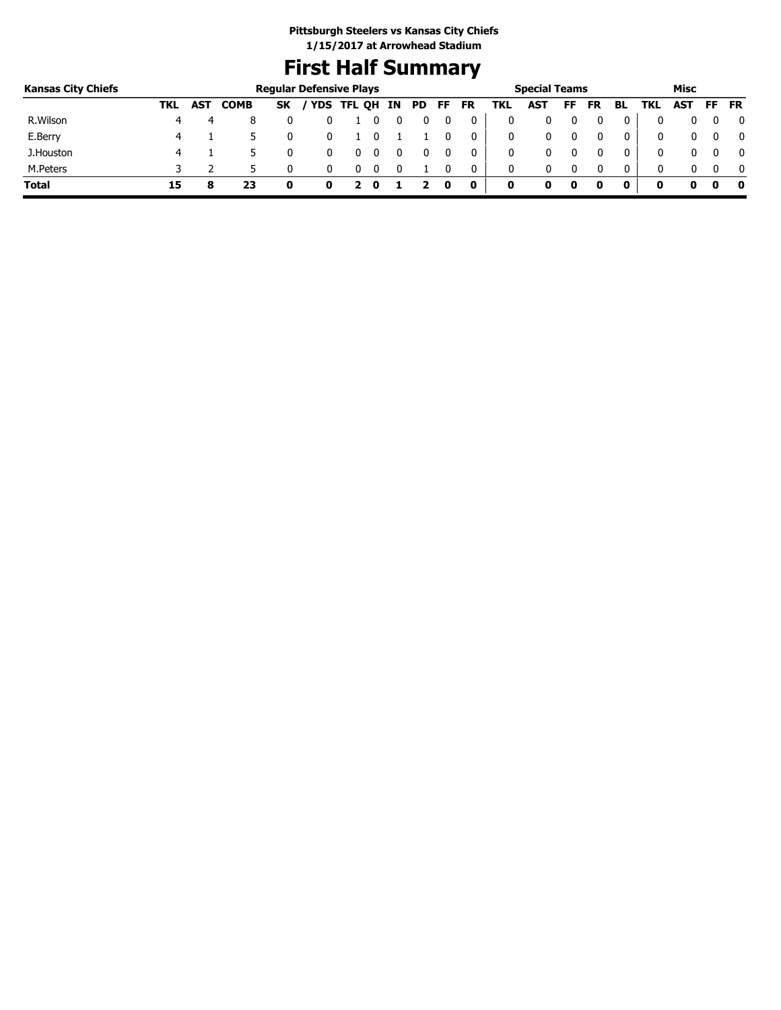# **First Half Summary**

| <b>Kansas City Chiefs</b> |     |            |             | <b>Regular Defensive Plays</b> |            |    |     |    |           |     | <b>Special Teams</b> |    |           |              |            | Misc |     |              |
|---------------------------|-----|------------|-------------|--------------------------------|------------|----|-----|----|-----------|-----|----------------------|----|-----------|--------------|------------|------|-----|--------------|
|                           | TKL | <b>AST</b> | <b>COMB</b> | <b>SK</b>                      | YDS TFL QH | IN | PD. | FF | <b>FR</b> | TKL | <b>AST</b>           | FF | <b>FR</b> | BL           | TKL        | AST  | FF. | <b>FR</b>    |
| R.Wilson                  |     |            | 8           |                                |            |    |     |    | 0         |     | 0                    |    |           | 0            |            |      |     | 0            |
| E.Berry                   |     |            |             |                                |            |    |     |    | 0         |     | 0                    |    |           | 0            | $^{\rm 0}$ |      |     | 0            |
| J.Houston                 |     |            |             |                                |            |    |     |    |           |     | 0                    |    |           | 0            | 0          |      |     | $\mathbf{0}$ |
| M.Peters                  |     |            |             |                                |            |    |     |    | 0         | 0   | 0                    |    |           | $\mathbf{0}$ | 0          |      |     | $\mathbf{0}$ |
| <b>Total</b>              | 15  |            | 23          | O                              |            |    |     | O  | 0         | 0   |                      | 0  |           | 0            | o          |      |     | - 0          |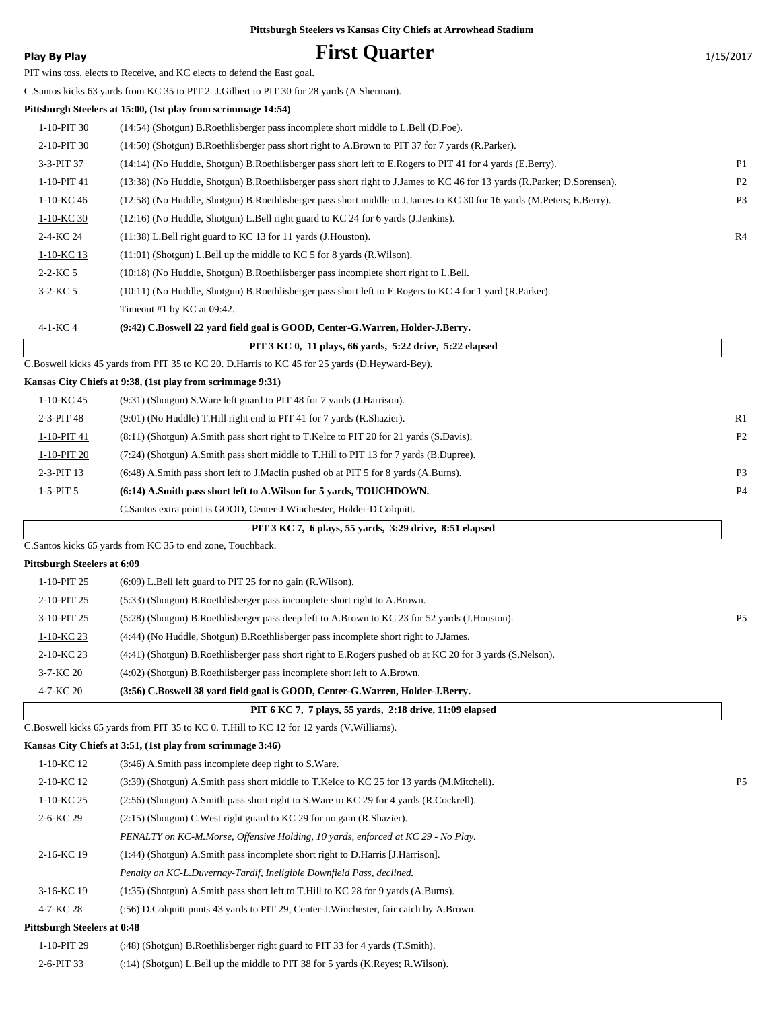| <b>Play By Play</b>                | <b>First Quarter</b>                                                                                                    | 1/15/2017      |
|------------------------------------|-------------------------------------------------------------------------------------------------------------------------|----------------|
|                                    | PIT wins toss, elects to Receive, and KC elects to defend the East goal.                                                |                |
|                                    | C.Santos kicks 63 yards from KC 35 to PIT 2. J.Gilbert to PIT 30 for 28 yards (A.Sherman).                              |                |
|                                    | Pittsburgh Steelers at 15:00, (1st play from scrimmage 14:54)                                                           |                |
| 1-10-PIT 30                        | (14:54) (Shotgun) B.Roethlisberger pass incomplete short middle to L.Bell (D.Poe).                                      |                |
| 2-10-PIT 30                        | (14:50) (Shotgun) B.Roethlisberger pass short right to A.Brown to PIT 37 for 7 yards (R.Parker).                        |                |
| 3-3-PIT 37                         | (14:14) (No Huddle, Shotgun) B.Roethlisberger pass short left to E.Rogers to PIT 41 for 4 yards (E.Berry).              | P <sub>1</sub> |
| 1-10-PIT 41                        | (13:38) (No Huddle, Shotgun) B.Roethlisberger pass short right to J.James to KC 46 for 13 yards (R.Parker; D.Sorensen). | P <sub>2</sub> |
| 1-10-KC 46                         | (12:58) (No Huddle, Shotgun) B.Roethlisberger pass short middle to J.James to KC 30 for 16 yards (M.Peters; E.Berry).   | P <sub>3</sub> |
| 1-10-KC 30                         | (12:16) (No Huddle, Shotgun) L.Bell right guard to KC 24 for 6 yards (J.Jenkins).                                       |                |
| 2-4-KC 24                          | (11:38) L.Bell right guard to KC 13 for 11 yards (J.Houston).                                                           | R4             |
| 1-10-KC 13                         | $(11:01)$ (Shotgun) L.Bell up the middle to KC 5 for 8 yards (R.Wilson).                                                |                |
| $2 - 2 - KC 5$                     | (10:18) (No Huddle, Shotgun) B.Roethlisberger pass incomplete short right to L.Bell.                                    |                |
| $3 - 2 - KC 5$                     | (10:11) (No Huddle, Shotgun) B.Roethlisberger pass short left to E.Rogers to KC 4 for 1 yard (R.Parker).                |                |
|                                    | Timeout #1 by KC at 09:42.                                                                                              |                |
| 4-1-KC 4                           | (9:42) C.Boswell 22 yard field goal is GOOD, Center-G.Warren, Holder-J.Berry.                                           |                |
|                                    | PIT 3 KC 0, 11 plays, 66 yards, 5:22 drive, 5:22 elapsed                                                                |                |
|                                    | C.Boswell kicks 45 yards from PIT 35 to KC 20. D.Harris to KC 45 for 25 yards (D.Heyward-Bey).                          |                |
|                                    | Kansas City Chiefs at 9:38, (1st play from scrimmage 9:31)                                                              |                |
| 1-10-KC 45                         | (9:31) (Shotgun) S. Ware left guard to PIT 48 for 7 yards (J. Harrison).                                                |                |
| 2-3-PIT 48                         | (9:01) (No Huddle) T. Hill right end to PIT 41 for 7 yards (R. Shazier).                                                | R1             |
| 1-10-PIT 41                        | (8.11) (Shotgun) A.Smith pass short right to T.Kelce to PIT 20 for 21 yards (S.Davis).                                  | P <sub>2</sub> |
| 1-10-PIT 20                        | (7:24) (Shotgun) A.Smith pass short middle to T.Hill to PIT 13 for 7 yards (B.Dupree).                                  |                |
| 2-3-PIT 13                         | (6:48) A.Smith pass short left to J.Maclin pushed ob at PIT 5 for 8 yards (A.Burns).                                    | P <sub>3</sub> |
| $1-5-PIT5$                         | (6:14) A.Smith pass short left to A.Wilson for 5 yards, TOUCHDOWN.                                                      | P <sub>4</sub> |
|                                    | C. Santos extra point is GOOD, Center-J. Winchester, Holder-D. Colquitt.                                                |                |
|                                    | PIT 3 KC 7, 6 plays, 55 yards, 3:29 drive, 8:51 elapsed                                                                 |                |
|                                    | C.Santos kicks 65 yards from KC 35 to end zone, Touchback.                                                              |                |
| <b>Pittsburgh Steelers at 6:09</b> |                                                                                                                         |                |
| 1-10-PIT 25                        | $(6:09)$ L.Bell left guard to PIT 25 for no gain $(R.Wilson)$ .                                                         |                |
| 2-10-PIT 25                        | (5:33) (Shotgun) B.Roethlisberger pass incomplete short right to A.Brown.                                               |                |
| 3-10-PIT 25                        | (5:28) (Shotgun) B.Roethlisberger pass deep left to A.Brown to KC 23 for 52 yards (J.Houston).                          | P <sub>5</sub> |
| 1-10-KC 23                         | (4:44) (No Huddle, Shotgun) B.Roethlisberger pass incomplete short right to J.James.                                    |                |
| 2-10-KC 23                         | (4:41) (Shotgun) B.Roethlisberger pass short right to E.Rogers pushed ob at KC 20 for 3 yards (S.Nelson).               |                |
| 3-7-KC 20                          | (4:02) (Shotgun) B.Roethlisberger pass incomplete short left to A.Brown.                                                |                |
| 4-7-KC 20                          | (3:56) C.Boswell 38 yard field goal is GOOD, Center-G.Warren, Holder-J.Berry.                                           |                |
|                                    | PIT 6 KC 7, 7 plays, 55 yards, 2:18 drive, 11:09 elapsed                                                                |                |
|                                    | C.Boswell kicks 65 yards from PIT 35 to KC 0. T.Hill to KC 12 for 12 yards (V.Williams).                                |                |
|                                    | Kansas City Chiefs at 3:51, (1st play from scrimmage 3:46)                                                              |                |
| 1-10-KC 12                         | (3:46) A.Smith pass incomplete deep right to S.Ware.                                                                    |                |
| 2-10-KC 12                         | (3:39) (Shotgun) A.Smith pass short middle to T.Kelce to KC 25 for 13 yards (M.Mitchell).                               | P <sub>5</sub> |
| $1-10-KC$ 25                       | (2:56) (Shotgun) A.Smith pass short right to S.Ware to KC 29 for 4 yards (R.Cockrell).                                  |                |
| 2-6-KC 29                          | (2:15) (Shotgun) C. West right guard to KC 29 for no gain (R. Shazier).                                                 |                |
|                                    | PENALTY on KC-M.Morse, Offensive Holding, 10 yards, enforced at KC 29 - No Play.                                        |                |
| 2-16-KC 19                         | (1:44) (Shotgun) A.Smith pass incomplete short right to D.Harris [J.Harrison].                                          |                |
|                                    | Penalty on KC-L.Duvernay-Tardif, Ineligible Downfield Pass, declined.                                                   |                |
| 3-16-KC 19                         | $(1:35)$ (Shotgun) A.Smith pass short left to T.Hill to KC 28 for 9 yards (A.Burns).                                    |                |
| 4-7-KC 28                          | (:56) D.Colquitt punts 43 yards to PIT 29, Center-J.Winchester, fair catch by A.Brown.                                  |                |
| <b>Pittsburgh Steelers at 0:48</b> |                                                                                                                         |                |
| 1-10-PIT 29                        | (:48) (Shotgun) B.Roethlisberger right guard to PIT 33 for 4 yards (T.Smith).                                           |                |
| 2-6-PIT 33                         | (:14) (Shotgun) L.Bell up the middle to PIT 38 for 5 yards (K.Reyes; R.Wilson).                                         |                |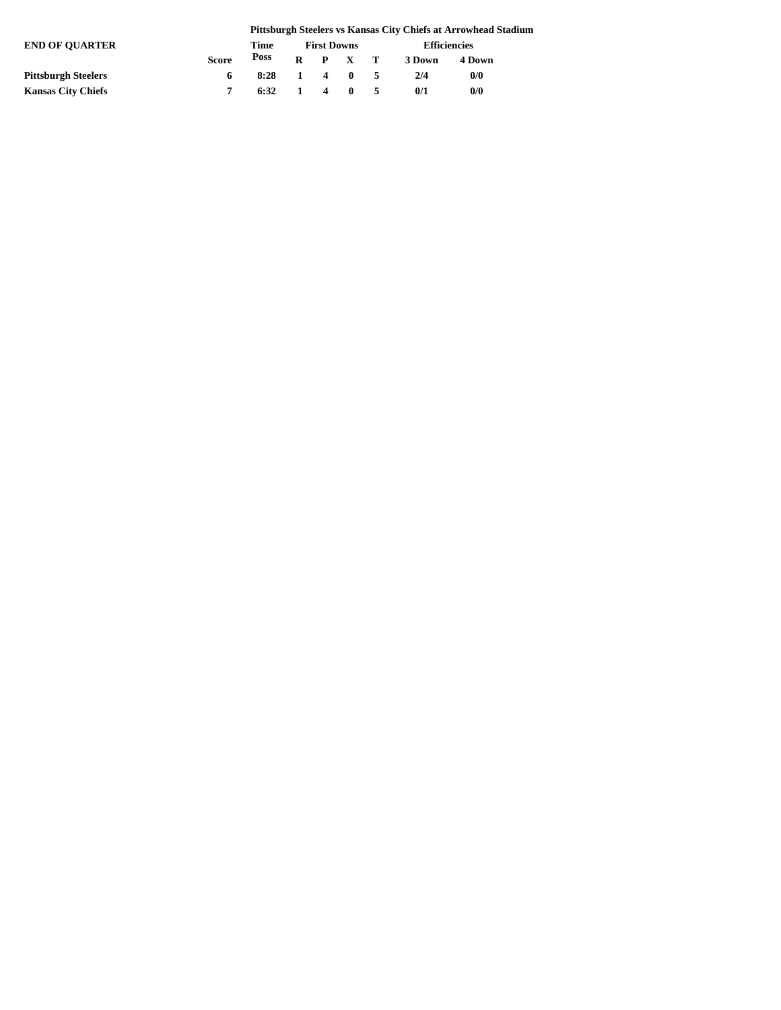|                            |              |                |              |                    |             |     |        | Pittsburgh Steelers vs Kansas City Chiefs at Arrowhead Stadium |
|----------------------------|--------------|----------------|--------------|--------------------|-------------|-----|--------|----------------------------------------------------------------|
| <b>END OF OUARTER</b>      |              | Time           |              | <b>First Downs</b> |             |     |        | <b>Efficiencies</b>                                            |
|                            | <b>Score</b> | Poss           | R            |                    | P X T       |     | 3 Down | 4 Down                                                         |
| <b>Pittsburgh Steelers</b> | 6            | 8:28           | $\mathbf{1}$ |                    | $4 \quad 0$ | -5  | 2/4    | 0/0                                                            |
| <b>Kansas City Chiefs</b>  |              | $6:32 \quad 1$ |              |                    | $4 \quad 0$ | -5. | 0/1    | 0/0                                                            |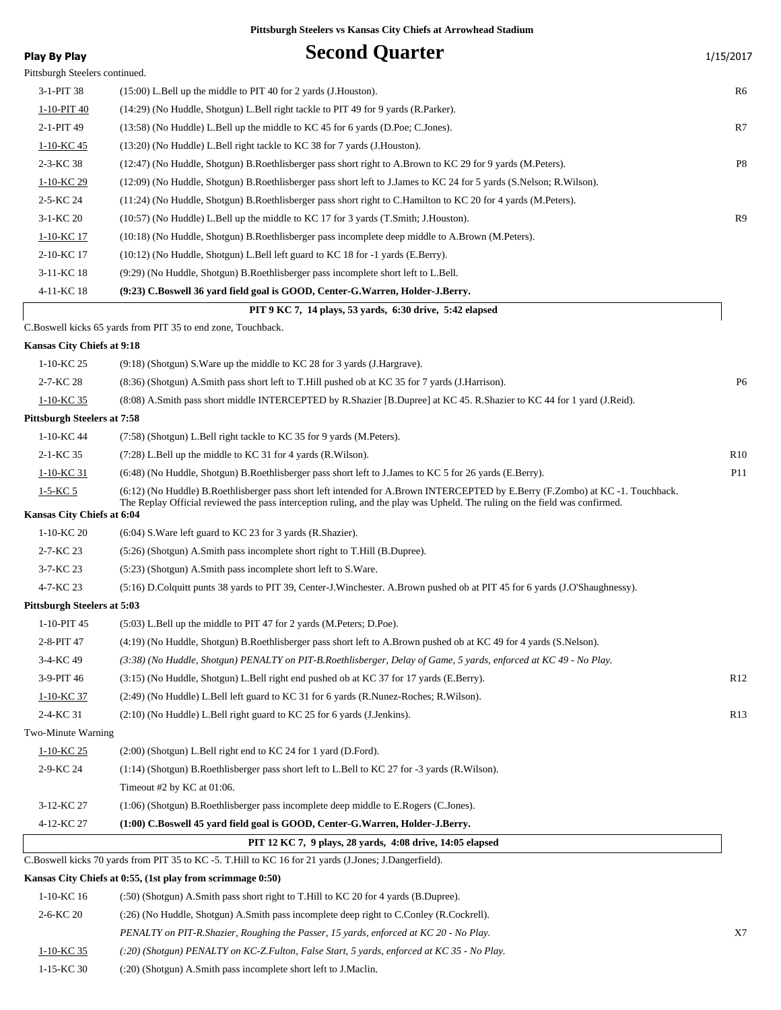| <b>Play By Play</b>                | <b>Second Quarter</b>                                                                                                                                                                                                                                        | 1/15/2017       |
|------------------------------------|--------------------------------------------------------------------------------------------------------------------------------------------------------------------------------------------------------------------------------------------------------------|-----------------|
| Pittsburgh Steelers continued.     |                                                                                                                                                                                                                                                              |                 |
| 3-1-PIT 38                         | $(15:00)$ L.Bell up the middle to PIT 40 for 2 yards (J.Houston).                                                                                                                                                                                            | R6              |
| 1-10-PIT 40                        | (14:29) (No Huddle, Shotgun) L.Bell right tackle to PIT 49 for 9 yards (R.Parker).                                                                                                                                                                           |                 |
| 2-1-PIT 49                         | $(13:58)$ (No Huddle) L.Bell up the middle to KC 45 for 6 yards (D.Poe; C.Jones).                                                                                                                                                                            | R7              |
| 1-10-KC 45                         | (13:20) (No Huddle) L.Bell right tackle to KC 38 for 7 yards (J.Houston).                                                                                                                                                                                    |                 |
| 2-3-KC 38                          | (12:47) (No Huddle, Shotgun) B.Roethlisberger pass short right to A.Brown to KC 29 for 9 yards (M.Peters).                                                                                                                                                   | P8              |
| 1-10-KC 29                         | (12:09) (No Huddle, Shotgun) B.Roethlisberger pass short left to J.James to KC 24 for 5 yards (S.Nelson; R.Wilson).                                                                                                                                          |                 |
| 2-5-KC 24                          | (11:24) (No Huddle, Shotgun) B.Roethlisberger pass short right to C.Hamilton to KC 20 for 4 yards (M.Peters).                                                                                                                                                |                 |
| $3-1-KC$ 20                        | (10:57) (No Huddle) L.Bell up the middle to KC 17 for 3 yards (T.Smith; J.Houston).                                                                                                                                                                          | R <sub>9</sub>  |
| 1-10-KC 17                         | (10:18) (No Huddle, Shotgun) B.Roethlisberger pass incomplete deep middle to A.Brown (M.Peters).                                                                                                                                                             |                 |
| 2-10-KC 17                         | (10:12) (No Huddle, Shotgun) L.Bell left guard to KC 18 for -1 yards (E.Berry).                                                                                                                                                                              |                 |
| 3-11-KC 18                         | (9:29) (No Huddle, Shotgun) B.Roethlisberger pass incomplete short left to L.Bell.                                                                                                                                                                           |                 |
| 4-11-KC 18                         | (9:23) C.Boswell 36 yard field goal is GOOD, Center-G.Warren, Holder-J.Berry.                                                                                                                                                                                |                 |
|                                    | PIT 9 KC 7, 14 plays, 53 yards, 6:30 drive, 5:42 elapsed                                                                                                                                                                                                     |                 |
|                                    | C.Boswell kicks 65 yards from PIT 35 to end zone, Touchback.                                                                                                                                                                                                 |                 |
| Kansas City Chiefs at 9:18         |                                                                                                                                                                                                                                                              |                 |
| 1-10-KC 25                         | $(9:18)$ (Shotgun) S. Ware up the middle to KC 28 for 3 yards (J. Hargrave).                                                                                                                                                                                 |                 |
| 2-7-KC 28                          | (8:36) (Shotgun) A.Smith pass short left to T.Hill pushed ob at KC 35 for 7 yards (J.Harrison).                                                                                                                                                              | P <sub>6</sub>  |
| 1-10-KC 35                         | (8:08) A.Smith pass short middle INTERCEPTED by R.Shazier [B.Dupree] at KC 45. R.Shazier to KC 44 for 1 yard (J.Reid).                                                                                                                                       |                 |
| <b>Pittsburgh Steelers at 7:58</b> |                                                                                                                                                                                                                                                              |                 |
| 1-10-KC 44                         | (7:58) (Shotgun) L.Bell right tackle to KC 35 for 9 yards (M.Peters).                                                                                                                                                                                        |                 |
| 2-1-KC 35                          | (7:28) L.Bell up the middle to KC 31 for 4 yards (R.Wilson).                                                                                                                                                                                                 | R <sub>10</sub> |
| 1-10-KC 31                         | (6:48) (No Huddle, Shotgun) B.Roethlisberger pass short left to J.James to KC 5 for 26 yards (E.Berry).                                                                                                                                                      | P11             |
| $1-5-KC$ 5                         | (6:12) (No Huddle) B.Roethlisberger pass short left intended for A.Brown INTERCEPTED by E.Berry (F.Zombo) at KC -1. Touchback.<br>The Replay Official reviewed the pass interception ruling, and the play was Upheld. The ruling on the field was confirmed. |                 |
| Kansas City Chiefs at 6:04         |                                                                                                                                                                                                                                                              |                 |
| 1-10-KC 20                         | $(6:04)$ S. Ware left guard to KC 23 for 3 yards (R. Shazier).                                                                                                                                                                                               |                 |
| 2-7-KC 23                          | (5:26) (Shotgun) A.Smith pass incomplete short right to T.Hill (B.Dupree).                                                                                                                                                                                   |                 |
| $3 - 7 - KC$ 23                    | (5:23) (Shotgun) A.Smith pass incomplete short left to S.Ware.                                                                                                                                                                                               |                 |
| 4-7-KC 23                          | (5:16) D.Colquitt punts 38 yards to PIT 39, Center-J.Winchester. A.Brown pushed ob at PIT 45 for 6 yards (J.O'Shaughnessy).                                                                                                                                  |                 |
| <b>Pittsburgh Steelers at 5:03</b> |                                                                                                                                                                                                                                                              |                 |
| 1-10-PIT 45                        | (5:03) L.Bell up the middle to PIT 47 for 2 yards (M.Peters; D.Poe).                                                                                                                                                                                         |                 |
| 2-8-PIT 47                         | (4:19) (No Huddle, Shotgun) B.Roethlisberger pass short left to A.Brown pushed ob at KC 49 for 4 yards (S.Nelson).                                                                                                                                           |                 |
| 3-4-KC 49                          | (3:38) (No Huddle, Shotgun) PENALTY on PIT-B.Roethlisberger, Delay of Game, 5 yards, enforced at KC 49 - No Play.                                                                                                                                            |                 |
| 3-9-PIT 46                         | (3:15) (No Huddle, Shotgun) L.Bell right end pushed ob at KC 37 for 17 yards (E.Berry).                                                                                                                                                                      | R <sub>12</sub> |
| 1-10-KC 37                         | (2:49) (No Huddle) L.Bell left guard to KC 31 for 6 yards (R.Nunez-Roches; R.Wilson).                                                                                                                                                                        |                 |
| 2-4-KC 31                          | (2:10) (No Huddle) L.Bell right guard to KC 25 for 6 yards (J.Jenkins).                                                                                                                                                                                      | R <sub>13</sub> |
| Two-Minute Warning                 |                                                                                                                                                                                                                                                              |                 |
| 1-10-KC 25                         | $(2:00)$ (Shotgun) L.Bell right end to KC 24 for 1 yard (D.Ford).                                                                                                                                                                                            |                 |
| 2-9-KC 24                          | (1:14) (Shotgun) B.Roethlisberger pass short left to L.Bell to KC 27 for -3 yards (R.Wilson).                                                                                                                                                                |                 |
|                                    | Timeout #2 by KC at 01:06.                                                                                                                                                                                                                                   |                 |
| 3-12-KC 27                         | (1:06) (Shotgun) B.Roethlisberger pass incomplete deep middle to E.Rogers (C.Jones).                                                                                                                                                                         |                 |
| 4-12-KC 27                         | (1:00) C.Boswell 45 yard field goal is GOOD, Center-G.Warren, Holder-J.Berry.                                                                                                                                                                                |                 |
|                                    | PIT 12 KC 7, 9 plays, 28 yards, 4:08 drive, 14:05 elapsed                                                                                                                                                                                                    |                 |
|                                    | C.Boswell kicks 70 yards from PIT 35 to KC -5. T.Hill to KC 16 for 21 yards (J.Jones; J.Dangerfield).                                                                                                                                                        |                 |
|                                    | Kansas City Chiefs at 0:55, (1st play from scrimmage 0:50)                                                                                                                                                                                                   |                 |
| 1-10-KC 16                         | (.50) (Shotgun) A.Smith pass short right to T.Hill to KC 20 for 4 yards (B.Dupree).                                                                                                                                                                          |                 |
| 2-6-KC 20                          | (:26) (No Huddle, Shotgun) A.Smith pass incomplete deep right to C.Conley (R.Cockrell).                                                                                                                                                                      |                 |
|                                    | PENALTY on PIT-R.Shazier, Roughing the Passer, 15 yards, enforced at KC 20 - No Play.                                                                                                                                                                        | X7              |

1-10-KC 35 *(:20) (Shotgun) PENALTY on KC-Z.Fulton, False Start, 5 yards, enforced at KC 35 - No Play.*

1-15-KC 30 (:20) (Shotgun) A.Smith pass incomplete short left to J.Maclin.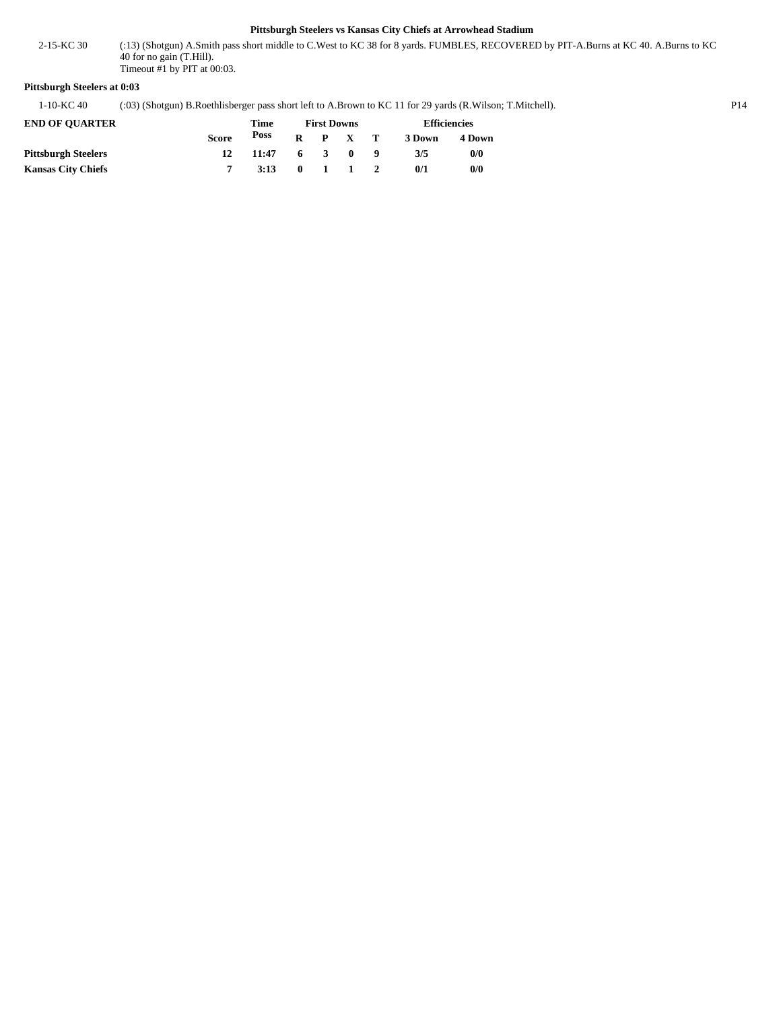(:13) (Shotgun) A.Smith pass short middle to C.West to KC 38 for 8 yards. FUMBLES, RECOVERED by PIT-A.Burns at KC 40. A.Burns to KC 40 for no gain (T.Hill). 2-15-KC 30 Timeout #1 by PIT at 00:03.

#### **Pittsburgh Steelers at 0:03**

1-10-KC 40 (:03) (Shotgun) B.Roethlisberger pass short left to A.Brown to KC 11 for 29 yards (R.Wilson; T.Mitchell). P14

| <b>END OF OUARTER</b>      |              | Time  |                 | <b>First Downs</b> | <b>Efficiencies</b> |        |  |  |
|----------------------------|--------------|-------|-----------------|--------------------|---------------------|--------|--|--|
|                            | <b>Score</b> | Poss  |                 | $R$ $P$ $X$ $T$    | 3 Down              | 4 Down |  |  |
| <b>Pittsburgh Steelers</b> |              | 11:47 |                 | 6 3 0 9            | 3/5                 | 0/0    |  |  |
| <b>Kansas City Chiefs</b>  |              | 3:13  | $0 \t1 \t1 \t2$ |                    | 0/1                 | 0/0    |  |  |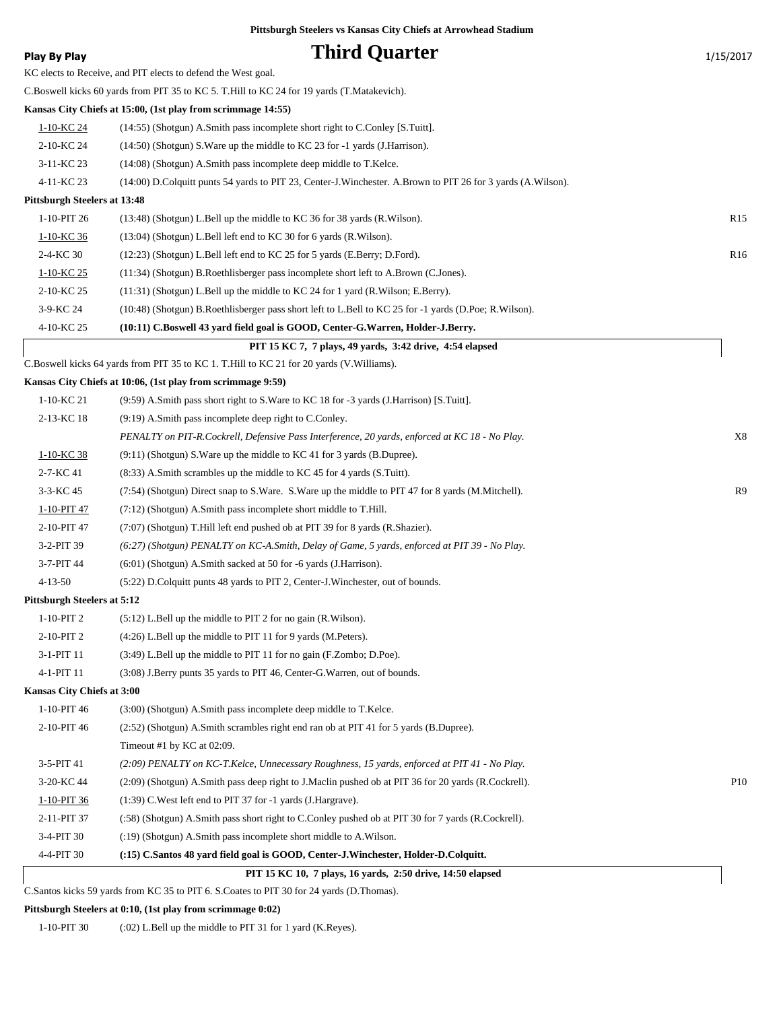| Play By Play                 | <b>Third Quarter</b>                                                                                                                             | 1/15/2017       |
|------------------------------|--------------------------------------------------------------------------------------------------------------------------------------------------|-----------------|
|                              | KC elects to Receive, and PIT elects to defend the West goal.                                                                                    |                 |
|                              | C.Boswell kicks 60 yards from PIT 35 to KC 5. T.Hill to KC 24 for 19 yards (T.Matakevich).                                                       |                 |
|                              | Kansas City Chiefs at 15:00, (1st play from scrimmage 14:55)                                                                                     |                 |
| 1-10-KC 24                   | $(14:55)$ (Shotgun) A.Smith pass incomplete short right to C.Conley [S.Tuitt].                                                                   |                 |
| 2-10-KC 24                   | $(14:50)$ (Shotgun) S. Ware up the middle to KC 23 for -1 yards (J. Harrison).                                                                   |                 |
| 3-11-KC 23                   | $(14:08)$ (Shotgun) A.Smith pass incomplete deep middle to T.Kelce.                                                                              |                 |
| 4-11-KC 23                   | (14:00) D.Colquitt punts 54 yards to PIT 23, Center-J.Winchester. A.Brown to PIT 26 for 3 yards (A.Wilson).                                      |                 |
| Pittsburgh Steelers at 13:48 |                                                                                                                                                  |                 |
| 1-10-PIT 26                  | (13:48) (Shotgun) L.Bell up the middle to KC 36 for 38 yards (R.Wilson).                                                                         | R <sub>15</sub> |
| 1-10-KC 36                   | $(13:04)$ (Shotgun) L.Bell left end to KC 30 for 6 yards (R.Wilson).                                                                             |                 |
| 2-4-KC 30                    | (12:23) (Shotgun) L.Bell left end to KC 25 for 5 yards (E.Berry; D.Ford).                                                                        | R <sub>16</sub> |
| 1-10-KC 25                   | (11:34) (Shotgun) B.Roethlisberger pass incomplete short left to A.Brown (C.Jones).                                                              |                 |
| 2-10-KC 25                   | (11:31) (Shotgun) L.Bell up the middle to KC 24 for 1 yard (R.Wilson; E.Berry).                                                                  |                 |
| 3-9-KC 24                    | (10:48) (Shotgun) B.Roethlisberger pass short left to L.Bell to KC 25 for -1 yards (D.Poe; R.Wilson).                                            |                 |
| 4-10-KC 25                   | (10:11) C.Boswell 43 yard field goal is GOOD, Center-G.Warren, Holder-J.Berry.                                                                   |                 |
|                              | PIT 15 KC 7, 7 plays, 49 yards, 3:42 drive, 4:54 elapsed                                                                                         |                 |
|                              | C.Boswell kicks 64 yards from PIT 35 to KC 1. T.Hill to KC 21 for 20 yards (V.Williams).                                                         |                 |
|                              | Kansas City Chiefs at 10:06, (1st play from scrimmage 9:59)                                                                                      |                 |
| 1-10-KC 21                   | (9.59) A.Smith pass short right to S.Ware to KC 18 for -3 yards (J.Harrison) [S.Tuitt].                                                          |                 |
| 2-13-KC 18                   | $(9:19)$ A.Smith pass incomplete deep right to C.Conley.                                                                                         |                 |
|                              | PENALTY on PIT-R.Cockrell, Defensive Pass Interference, 20 yards, enforced at KC 18 - No Play.                                                   | X8              |
| 1-10-KC 38                   | $(9:11)$ (Shotgun) S. Ware up the middle to KC 41 for 3 yards (B. Dupree).                                                                       |                 |
| 2-7-KC 41                    | $(8:33)$ A.Smith scrambles up the middle to KC 45 for 4 yards $(S.\text{Tuit})$ .                                                                |                 |
| 3-3-KC 45                    | (7:54) (Shotgun) Direct snap to S. Ware. S. Ware up the middle to PIT 47 for 8 yards (M. Mitchell).                                              | R9              |
| 1-10-PIT 47                  | $(7:12)$ (Shotgun) A.Smith pass incomplete short middle to T.Hill.                                                                               |                 |
| 2-10-PIT 47                  | (7:07) (Shotgun) T. Hill left end pushed ob at PIT 39 for 8 yards (R. Shazier).                                                                  |                 |
| 3-2-PIT 39                   | (6:27) (Shotgun) PENALTY on KC-A.Smith, Delay of Game, 5 yards, enforced at PIT 39 - No Play.                                                    |                 |
| 3-7-PIT 44                   | (6:01) (Shotgun) A.Smith sacked at 50 for -6 yards (J.Harrison).                                                                                 |                 |
| $4 - 13 - 50$                | (5:22) D.Colquitt punts 48 yards to PIT 2, Center-J.Winchester, out of bounds.                                                                   |                 |
| Pittsburgh Steelers at 5:12  |                                                                                                                                                  |                 |
| $1-10-PIT2$                  | (5:12) L.Bell up the middle to PIT 2 for no gain (R.Wilson).                                                                                     |                 |
| 2-10-PIT 2                   | (4:26) L.Bell up the middle to PIT 11 for 9 yards (M.Peters).                                                                                    |                 |
| 3-1-PIT 11                   | (3:49) L.Bell up the middle to PIT 11 for no gain (F.Zombo; D.Poe).                                                                              |                 |
| 4-1-PIT 11                   | (3:08) J.Berry punts 35 yards to PIT 46, Center-G.Warren, out of bounds.                                                                         |                 |
| Kansas City Chiefs at 3:00   |                                                                                                                                                  |                 |
| 1-10-PIT 46                  | (3:00) (Shotgun) A.Smith pass incomplete deep middle to T.Kelce.                                                                                 |                 |
| 2-10-PIT 46                  | (2.52) (Shotgun) A.Smith scrambles right end ran ob at PIT 41 for 5 yards (B.Dupree).                                                            |                 |
|                              | Timeout #1 by KC at 02:09.                                                                                                                       |                 |
| 3-5-PIT 41                   | (2:09) PENALTY on KC-T.Kelce, Unnecessary Roughness, 15 yards, enforced at PIT 41 - No Play.                                                     |                 |
| 3-20-KC 44                   | (2:09) (Shotgun) A.Smith pass deep right to J.Maclin pushed ob at PIT 36 for 20 yards (R.Cockrell).                                              | P <sub>10</sub> |
| $1-10-PIT$ 36                | $(1:39)$ C. West left end to PIT 37 for -1 yards (J. Hargrave).                                                                                  |                 |
| 2-11-PIT 37                  | (:58) (Shotgun) A.Smith pass short right to C.Conley pushed ob at PIT 30 for 7 yards (R.Cockrell).                                               |                 |
| 3-4-PIT 30                   | (:19) (Shotgun) A.Smith pass incomplete short middle to A.Wilson.                                                                                |                 |
| 4-4-PIT 30                   | (:15) C.Santos 48 yard field goal is GOOD, Center-J.Winchester, Holder-D.Colquitt.<br>PIT 15 KC 10, 7 plays, 16 yards, 2:50 drive, 14:50 elapsed |                 |

C.Santos kicks 59 yards from KC 35 to PIT 6. S.Coates to PIT 30 for 24 yards (D.Thomas).

#### **Pittsburgh Steelers at 0:10, (1st play from scrimmage 0:02)**

1-10-PIT 30 (:02) L.Bell up the middle to PIT 31 for 1 yard (K.Reyes).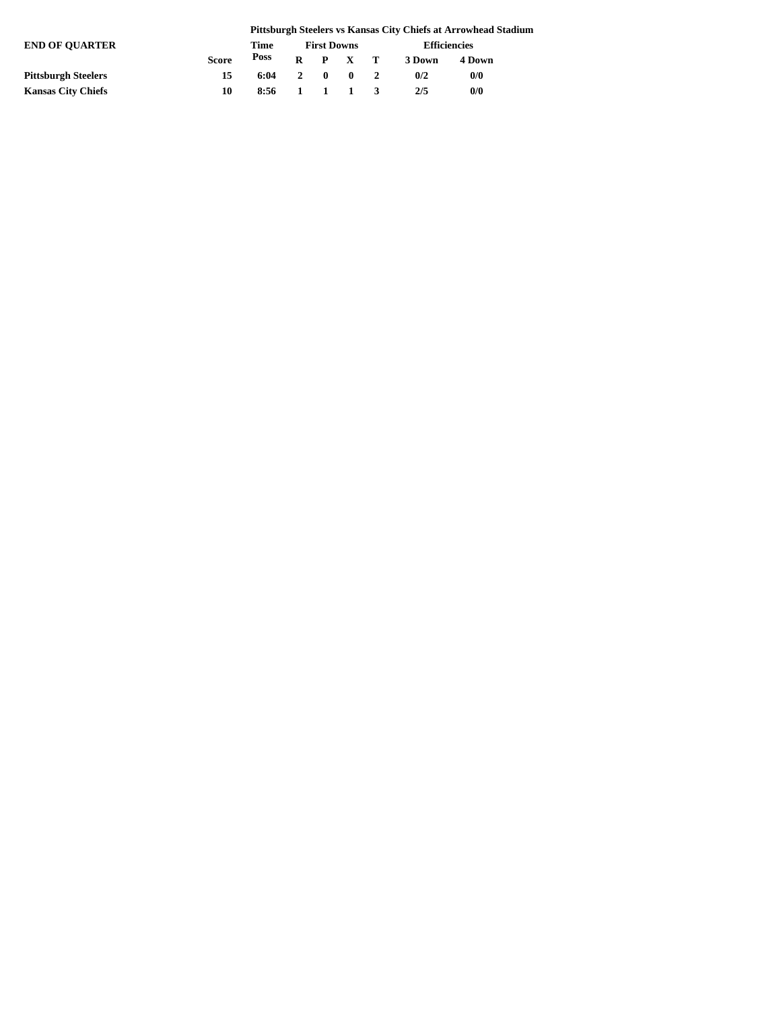|                            |              |      | Pittsburgh Steelers vs Kansas City Chiefs at Arrowhead Stadium |                    |                                          |  |                     |        |  |  |  |  |  |
|----------------------------|--------------|------|----------------------------------------------------------------|--------------------|------------------------------------------|--|---------------------|--------|--|--|--|--|--|
| <b>END OF OUARTER</b>      |              |      |                                                                | <b>First Downs</b> |                                          |  | <b>Efficiencies</b> |        |  |  |  |  |  |
|                            | <b>Score</b> | Poss | R                                                              |                    | P X T                                    |  | 3 Down              | 4 Down |  |  |  |  |  |
| <b>Pittsburgh Steelers</b> | 15           | 6:04 |                                                                | 2 0                | $\mathbf{0}$                             |  | 0/2                 | 0/0    |  |  |  |  |  |
| <b>Kansas City Chiefs</b>  | 10           | 8:56 | $\mathbf{1}$                                                   |                    | $\begin{array}{ccc} & 1 & 1 \end{array}$ |  | 2/5                 | 0/0    |  |  |  |  |  |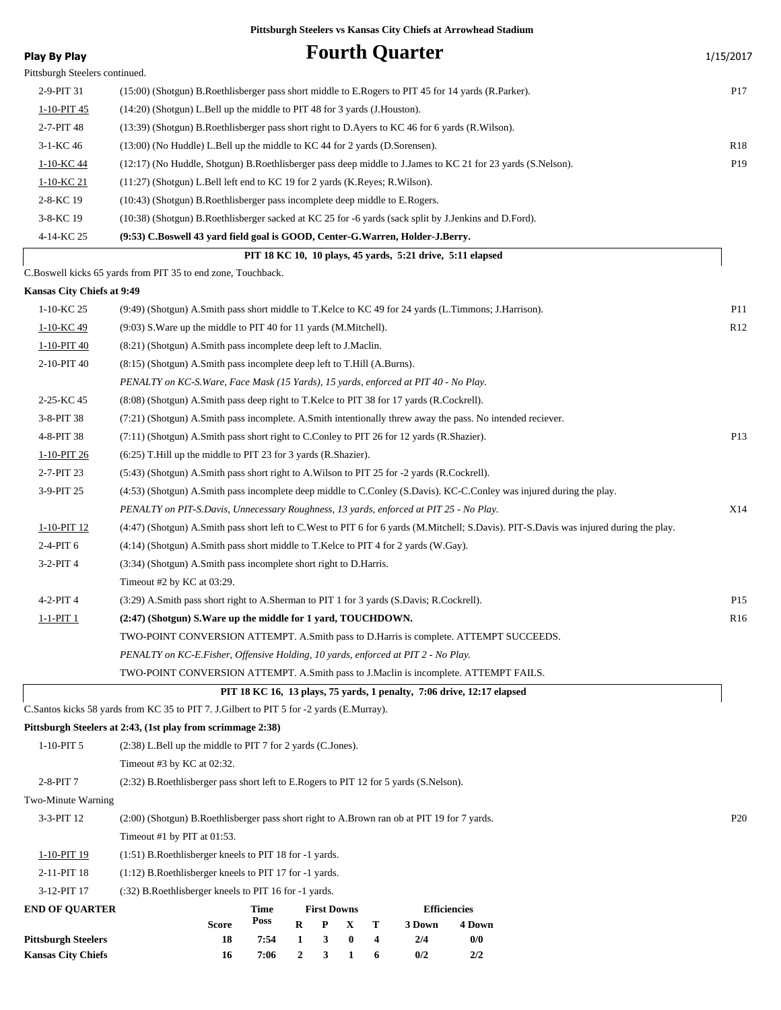| <b>Play By Play</b>                                     |                                                                                                                                         |                                                                                             |                       |                    |               |        | <b>Fourth Quarter</b> |                                                                                                                      | 1/15/2017       |  |  |
|---------------------------------------------------------|-----------------------------------------------------------------------------------------------------------------------------------------|---------------------------------------------------------------------------------------------|-----------------------|--------------------|---------------|--------|-----------------------|----------------------------------------------------------------------------------------------------------------------|-----------------|--|--|
| Pittsburgh Steelers continued.                          |                                                                                                                                         |                                                                                             |                       |                    |               |        |                       |                                                                                                                      |                 |  |  |
| 2-9-PIT 31                                              | (15:00) (Shotgun) B.Roethlisberger pass short middle to E.Rogers to PIT 45 for 14 yards (R.Parker).                                     |                                                                                             |                       |                    |               |        |                       |                                                                                                                      | P <sub>17</sub> |  |  |
| 1-10-PIT 45                                             | (14:20) (Shotgun) L.Bell up the middle to PIT 48 for 3 yards (J.Houston).                                                               |                                                                                             |                       |                    |               |        |                       |                                                                                                                      |                 |  |  |
| 2-7-PIT 48                                              | (13:39) (Shotgun) B.Roethlisberger pass short right to D.Ayers to KC 46 for 6 yards (R.Wilson).                                         |                                                                                             |                       |                    |               |        |                       |                                                                                                                      |                 |  |  |
| $3-1-KC$ 46                                             | (13:00) (No Huddle) L.Bell up the middle to KC 44 for 2 yards (D.Sorensen).                                                             |                                                                                             |                       |                    |               |        |                       |                                                                                                                      | R <sub>18</sub> |  |  |
| 1-10-KC 44                                              |                                                                                                                                         |                                                                                             |                       |                    |               |        |                       | (12:17) (No Huddle, Shotgun) B.Roethlisberger pass deep middle to J.James to KC 21 for 23 yards (S.Nelson).          | P19             |  |  |
| 1-10-KC 21                                              | (11:27) (Shotgun) L.Bell left end to KC 19 for 2 yards (K.Reyes; R.Wilson).                                                             |                                                                                             |                       |                    |               |        |                       |                                                                                                                      |                 |  |  |
| 2-8-KC 19                                               | (10:43) (Shotgun) B.Roethlisberger pass incomplete deep middle to E.Rogers.                                                             |                                                                                             |                       |                    |               |        |                       |                                                                                                                      |                 |  |  |
| 3-8-KC 19                                               | (10:38) (Shotgun) B.Roethlisberger sacked at KC 25 for -6 yards (sack split by J.Jenkins and D.Ford).                                   |                                                                                             |                       |                    |               |        |                       |                                                                                                                      |                 |  |  |
| 4-14-KC 25                                              | (9:53) C.Boswell 43 yard field goal is GOOD, Center-G.Warren, Holder-J.Berry.                                                           |                                                                                             |                       |                    |               |        |                       |                                                                                                                      |                 |  |  |
|                                                         |                                                                                                                                         |                                                                                             |                       |                    |               |        |                       | PIT 18 KC 10, 10 plays, 45 yards, 5:21 drive, 5:11 elapsed                                                           |                 |  |  |
|                                                         | C.Boswell kicks 65 yards from PIT 35 to end zone, Touchback.                                                                            |                                                                                             |                       |                    |               |        |                       |                                                                                                                      |                 |  |  |
| Kansas City Chiefs at 9:49                              |                                                                                                                                         |                                                                                             |                       |                    |               |        |                       |                                                                                                                      |                 |  |  |
| 1-10-KC 25                                              | (9:49) (Shotgun) A.Smith pass short middle to T.Kelce to KC 49 for 24 yards (L.Timmons; J.Harrison).                                    |                                                                                             |                       |                    |               |        |                       |                                                                                                                      | <b>P11</b>      |  |  |
| 1-10-KC 49                                              | (9:03) S. Ware up the middle to PIT 40 for 11 yards (M. Mitchell).                                                                      |                                                                                             |                       |                    |               |        |                       |                                                                                                                      | R12             |  |  |
| 1-10-PIT 40                                             | (8:21) (Shotgun) A.Smith pass incomplete deep left to J.Maclin.                                                                         |                                                                                             |                       |                    |               |        |                       |                                                                                                                      |                 |  |  |
| 2-10-PIT 40                                             | (8:15) (Shotgun) A.Smith pass incomplete deep left to T.Hill (A.Burns).                                                                 |                                                                                             |                       |                    |               |        |                       |                                                                                                                      |                 |  |  |
|                                                         | PENALTY on KC-S. Ware, Face Mask (15 Yards), 15 yards, enforced at PIT 40 - No Play.                                                    |                                                                                             |                       |                    |               |        |                       |                                                                                                                      |                 |  |  |
| 2-25-KC 45                                              | (8.08) (Shotgun) A.Smith pass deep right to T.Kelce to PIT 38 for 17 yards (R.Cockrell).                                                |                                                                                             |                       |                    |               |        |                       |                                                                                                                      |                 |  |  |
| 3-8-PIT 38                                              |                                                                                                                                         |                                                                                             |                       |                    |               |        |                       | (7:21) (Shotgun) A.Smith pass incomplete. A.Smith intentionally threw away the pass. No intended reciever.           |                 |  |  |
| 4-8-PIT 38                                              |                                                                                                                                         | $(7.11)$ (Shotgun) A.Smith pass short right to C.Conley to PIT 26 for 12 yards (R.Shazier). |                       |                    |               |        |                       |                                                                                                                      |                 |  |  |
| 1-10-PIT 26                                             | (6:25) T. Hill up the middle to PIT 23 for 3 yards (R. Shazier).                                                                        |                                                                                             |                       |                    |               |        |                       |                                                                                                                      |                 |  |  |
| 2-7-PIT 23                                              | (5:43) (Shotgun) A.Smith pass short right to A.Wilson to PIT 25 for -2 yards (R.Cockrell).                                              |                                                                                             |                       |                    |               |        |                       |                                                                                                                      |                 |  |  |
| 3-9-PIT 25                                              |                                                                                                                                         |                                                                                             |                       |                    |               |        |                       | (4:53) (Shotgun) A.Smith pass incomplete deep middle to C.Conley (S.Davis). KC-C.Conley was injured during the play. |                 |  |  |
|                                                         | PENALTY on PIT-S.Davis, Unnecessary Roughness, 13 yards, enforced at PIT 25 - No Play.                                                  |                                                                                             |                       |                    |               |        |                       |                                                                                                                      |                 |  |  |
| 1-10-PIT 12                                             | (4:47) (Shotgun) A.Smith pass short left to C.West to PIT 6 for 6 yards (M.Mitchell; S.Davis). PIT-S.Davis was injured during the play. |                                                                                             |                       |                    |               |        |                       |                                                                                                                      |                 |  |  |
| 2-4-PIT 6                                               | (4:14) (Shotgun) A.Smith pass short middle to T.Kelce to PIT 4 for 2 yards (W.Gay).                                                     |                                                                                             |                       |                    |               |        |                       |                                                                                                                      |                 |  |  |
| $3-2-PIT4$                                              | (3:34) (Shotgun) A.Smith pass incomplete short right to D.Harris.                                                                       |                                                                                             |                       |                    |               |        |                       |                                                                                                                      |                 |  |  |
|                                                         | Timeout #2 by KC at 03:29.                                                                                                              |                                                                                             |                       |                    |               |        |                       |                                                                                                                      |                 |  |  |
| $4-2-PIT4$                                              | (3:29) A.Smith pass short right to A.Sherman to PIT 1 for 3 yards (S.Davis; R.Cockrell).                                                |                                                                                             |                       |                    |               |        |                       |                                                                                                                      | P <sub>15</sub> |  |  |
| 1-1-PIT 1                                               | (2:47) (Shotgun) S. Ware up the middle for 1 yard, TOUCHDOWN.                                                                           |                                                                                             |                       |                    |               |        |                       |                                                                                                                      | R <sub>16</sub> |  |  |
|                                                         | TWO-POINT CONVERSION ATTEMPT. A.Smith pass to D.Harris is complete. ATTEMPT SUCCEEDS.                                                   |                                                                                             |                       |                    |               |        |                       |                                                                                                                      |                 |  |  |
|                                                         | PENALTY on KC-E.Fisher, Offensive Holding, 10 yards, enforced at PIT 2 - No Play.                                                       |                                                                                             |                       |                    |               |        |                       |                                                                                                                      |                 |  |  |
|                                                         | TWO-POINT CONVERSION ATTEMPT. A.Smith pass to J.Maclin is incomplete. ATTEMPT FAILS.                                                    |                                                                                             |                       |                    |               |        |                       |                                                                                                                      |                 |  |  |
|                                                         |                                                                                                                                         |                                                                                             |                       |                    |               |        |                       | PIT 18 KC 16, 13 plays, 75 yards, 1 penalty, 7:06 drive, 12:17 elapsed                                               |                 |  |  |
|                                                         | C.Santos kicks 58 yards from KC 35 to PIT 7. J.Gilbert to PIT 5 for -2 yards (E.Murray).                                                |                                                                                             |                       |                    |               |        |                       |                                                                                                                      |                 |  |  |
|                                                         | Pittsburgh Steelers at 2:43, (1st play from scrimmage 2:38)                                                                             |                                                                                             |                       |                    |               |        |                       |                                                                                                                      |                 |  |  |
| $1-10-PIT5$                                             | (2:38) L.Bell up the middle to PIT 7 for 2 yards (C.Jones).                                                                             |                                                                                             |                       |                    |               |        |                       |                                                                                                                      |                 |  |  |
|                                                         | Timeout #3 by KC at 02:32.                                                                                                              |                                                                                             |                       |                    |               |        |                       |                                                                                                                      |                 |  |  |
| 2-8-PIT 7                                               | (2:32) B.Roethlisberger pass short left to E.Rogers to PIT 12 for 5 yards (S.Nelson).                                                   |                                                                                             |                       |                    |               |        |                       |                                                                                                                      |                 |  |  |
| Two-Minute Warning                                      |                                                                                                                                         |                                                                                             |                       |                    |               |        |                       |                                                                                                                      |                 |  |  |
| 3-3-PIT 12                                              | (2:00) (Shotgun) B.Roethlisberger pass short right to A.Brown ran ob at PIT 19 for 7 yards.                                             |                                                                                             |                       |                    |               |        |                       |                                                                                                                      | P <sub>20</sub> |  |  |
|                                                         | Timeout #1 by PIT at 01:53.                                                                                                             |                                                                                             |                       |                    |               |        |                       |                                                                                                                      |                 |  |  |
| 1-10-PIT 19                                             | (1:51) B.Roethlisberger kneels to PIT 18 for -1 yards.                                                                                  |                                                                                             |                       |                    |               |        |                       |                                                                                                                      |                 |  |  |
| 2-11-PIT 18                                             | (1:12) B.Roethlisberger kneels to PIT 17 for -1 yards.                                                                                  |                                                                                             |                       |                    |               |        |                       |                                                                                                                      |                 |  |  |
| 3-12-PIT 17                                             | (:32) B. Roethlisberger kneels to PIT 16 for -1 yards.                                                                                  |                                                                                             |                       |                    |               |        |                       |                                                                                                                      |                 |  |  |
| <b>END OF QUARTER</b>                                   |                                                                                                                                         | Time                                                                                        |                       | <b>First Downs</b> |               |        |                       | <b>Efficiencies</b>                                                                                                  |                 |  |  |
|                                                         | Score                                                                                                                                   | Poss                                                                                        | R                     | P                  | X             | т      | 3 Down                | 4 Down                                                                                                               |                 |  |  |
| <b>Pittsburgh Steelers</b><br><b>Kansas City Chiefs</b> | 18<br>16                                                                                                                                | 7:54<br>7:06                                                                                | 1<br>$\boldsymbol{2}$ | 3<br>3             | $\bf{0}$<br>1 | 4<br>6 | 2/4<br>0/2            | 0/0<br>2/2                                                                                                           |                 |  |  |
|                                                         |                                                                                                                                         |                                                                                             |                       |                    |               |        |                       |                                                                                                                      |                 |  |  |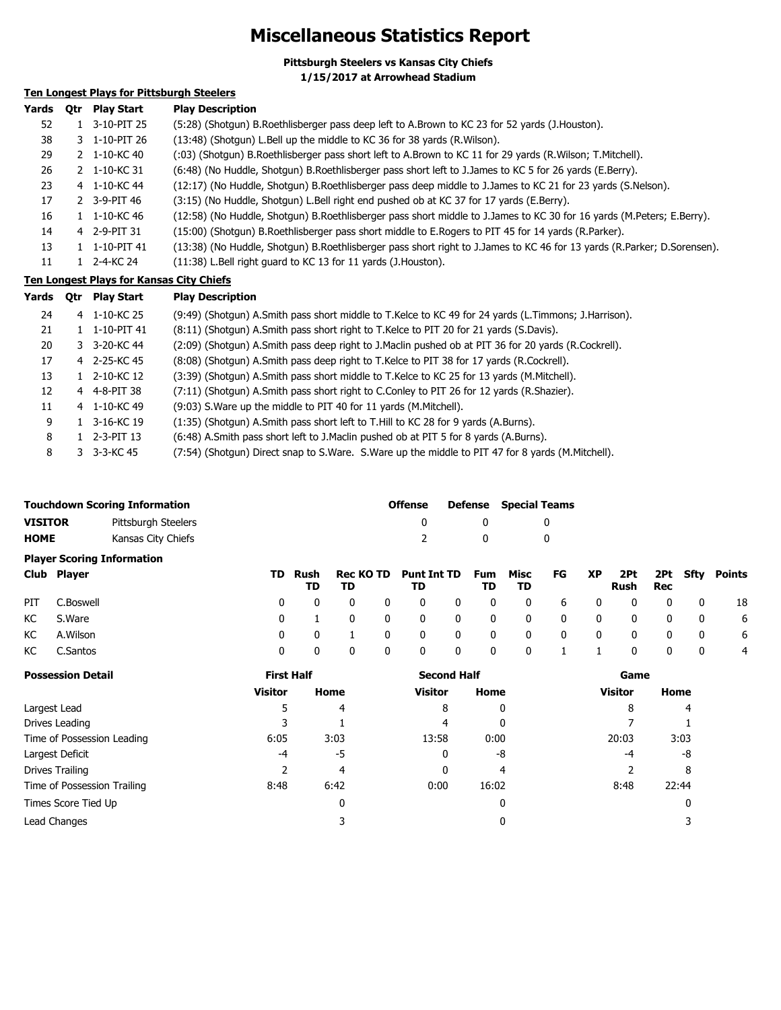### **Miscellaneous Statistics Report**

**Pittsburgh Steelers vs Kansas City Chiefs 1/15/2017 at Arrowhead Stadium**

### **Ten Longest Plays for Pittsburgh Steelers**

| Yards | Otr | <b>Play Start</b> | <b>Play Description</b>                                                                                                 |
|-------|-----|-------------------|-------------------------------------------------------------------------------------------------------------------------|
| 52    |     | 1 3-10-PIT 25     | (5:28) (Shotgun) B.Roethlisberger pass deep left to A.Brown to KC 23 for 52 yards (J.Houston).                          |
| 38    |     | 3 1-10-PIT 26     | (13:48) (Shotqun) L.Bell up the middle to KC 36 for 38 yards (R.Wilson).                                                |
| 29    |     | 2 1-10-KC 40      | (:03) (Shotgun) B.Roethlisberger pass short left to A.Brown to KC 11 for 29 yards (R.Wilson; T.Mitchell).               |
| 26    |     | 2 1-10-KC 31      | (6:48) (No Huddle, Shotgun) B.Roethlisberger pass short left to J.James to KC 5 for 26 yards (E.Berry).                 |
| 23    |     | 4 1-10-KC 44      | (12:17) (No Huddle, Shotgun) B.Roethlisberger pass deep middle to J.James to KC 21 for 23 yards (S.Nelson).             |
| 17    |     | 2 3-9-PIT 46      | (3:15) (No Huddle, Shotgun) L.Bell right end pushed ob at KC 37 for 17 yards (E.Berry).                                 |
| 16    |     | 1 1-10-KC 46      | (12:58) (No Huddle, Shotgun) B.Roethlisberger pass short middle to J.James to KC 30 for 16 yards (M.Peters; E.Berry).   |
| 14    |     | 4 2-9-PIT 31      | (15:00) (Shotgun) B.Roethlisberger pass short middle to E.Rogers to PIT 45 for 14 yards (R.Parker).                     |
| 13    |     | 1 1-10-PIT 41     | (13:38) (No Huddle, Shotgun) B.Roethlisberger pass short right to J.James to KC 46 for 13 yards (R.Parker; D.Sorensen). |
| 11    |     | 1 2-4-KC 24       | (11:38) L.Bell right quard to KC 13 for 11 yards (J.Houston).                                                           |

#### **Ten Longest Plays for Kansas City Chiefs**

| Yards | <b>Otr</b> | Plav Start      | <b>Play Description</b>                                                                              |
|-------|------------|-----------------|------------------------------------------------------------------------------------------------------|
| 24    |            | 4 1-10-KC 25    | (9:49) (Shotqun) A.Smith pass short middle to T.Kelce to KC 49 for 24 yards (L.Timmons; J.Harrison). |
| 21    |            | 1 1-10-PIT 41   | (8:11) (Shotgun) A.Smith pass short right to T.Kelce to PIT 20 for 21 yards (S.Davis).               |
| 20    |            | 3 3-20-KC 44    | (2:09) (Shotgun) A.Smith pass deep right to J.Maclin pushed ob at PIT 36 for 20 yards (R.Cockrell).  |
| 17    |            | 4 2-25-KC 45    | (8:08) (Shotgun) A.Smith pass deep right to T.Kelce to PIT 38 for 17 yards (R.Cockrell).             |
| 13    |            | 1 2-10-KC 12    | (3:39) (Shotgun) A.Smith pass short middle to T.Kelce to KC 25 for 13 yards (M.Mitchell).            |
| 12    |            | 4 4-8-PIT 38    | (7:11) (Shotgun) A.Smith pass short right to C.Conley to PIT 26 for 12 yards (R.Shazier).            |
| 11    |            | 4 1-10-KC 49    | (9:03) S. Ware up the middle to PIT 40 for 11 yards (M. Mitchell).                                   |
| 9     |            | 1 3-16-KC 19    | (1:35) (Shotgun) A.Smith pass short left to T.Hill to KC 28 for 9 yards (A.Burns).                   |
| 8     |            | $1$ 2-3-PIT 13  | (6:48) A.Smith pass short left to J.Maclin pushed ob at PIT 5 for 8 yards (A.Burns).                 |
| 8     |            | $3 - 3 - 8C$ 45 | (7:54) (Shotgun) Direct snap to S. Ware. S. Ware up the middle to PIT 47 for 8 yards (M. Mitchell).  |

|                | <b>Touchdown Scoring Information</b> | <b>Offense</b> |              | <b>Defense</b> Special Teams |
|----------------|--------------------------------------|----------------|--------------|------------------------------|
| <b>VISITOR</b> | Pittsburgh Steelers                  |                |              |                              |
| HOME           | Kansas City Chiefs                   | -2             | $\mathbf{u}$ |                              |
|                | <b>Player Scoring Information</b>    |                |              |                              |

| Club Player   |  | TD TD | TD Rush Rec KO TD Punt Int TD Fum Misc FG XP 2Pt 2Pt Sfty Points<br>TD. |  | TD TD |  | Rush Rec |                         |                |
|---------------|--|-------|-------------------------------------------------------------------------|--|-------|--|----------|-------------------------|----------------|
| PIT C.Boswell |  |       | 0 0 0 0 0 0 0 0 0 0 0 0 0 18                                            |  |       |  |          |                         |                |
| KC S.Ware     |  |       | 0 1 0 0 0 0 0 0 0 0 0 0 0 6                                             |  |       |  |          |                         |                |
| KC A.Wilson   |  |       | 0 0 1 0 0 0 0 0 0 0 0 0 0 0 6                                           |  |       |  |          |                         |                |
| KC C.Santos   |  |       | 0 0 0 0 0 0 0 1 1 0 0                                                   |  |       |  |          | $\overline{\mathbf{0}}$ | $\overline{4}$ |

| <b>Possession Detail</b>    | <b>First Half</b> |      | <b>Second Half</b> |       | Game           |       |  |  |
|-----------------------------|-------------------|------|--------------------|-------|----------------|-------|--|--|
|                             | Visitor           | Home | Visitor            | Home  | <b>Visitor</b> | Home  |  |  |
| Largest Lead                |                   | 4    | 8                  | 0     | 8              | 4     |  |  |
| Drives Leading              |                   |      | 4                  | 0     |                |       |  |  |
| Time of Possession Leading  | 6:05              | 3:03 | 13:58              | 0:00  | 20:03          | 3:03  |  |  |
| Largest Deficit             | -4                | -5   | 0                  | -8    | -4             | -8    |  |  |
| Drives Trailing             |                   | 4    | 0                  | 4     |                | 8     |  |  |
| Time of Possession Trailing | 8:48              | 6:42 | 0:00               | 16:02 | 8:48           | 22:44 |  |  |
| Times Score Tied Up         |                   |      |                    | 0     |                | 0     |  |  |
| Lead Changes                |                   |      |                    | 0     |                |       |  |  |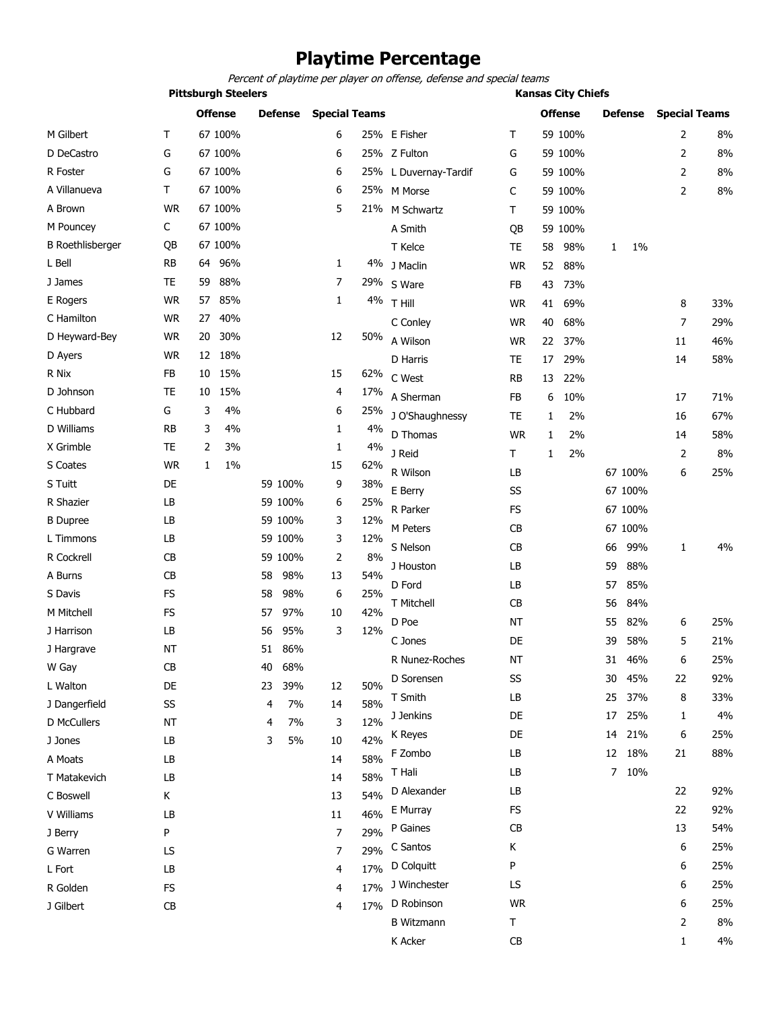### **Playtime Percentage**

*Percent of playtime per player on offense, defense and special teams*

|                         | <b>Pittsburgh Steelers</b> |    |                |    |                |                      |     | <b>Kansas City Chiefs</b> |           |              |                |    |                |                      |     |
|-------------------------|----------------------------|----|----------------|----|----------------|----------------------|-----|---------------------------|-----------|--------------|----------------|----|----------------|----------------------|-----|
|                         |                            |    | <b>Offense</b> |    | <b>Defense</b> | <b>Special Teams</b> |     |                           |           |              | <b>Offense</b> |    | <b>Defense</b> | <b>Special Teams</b> |     |
| M Gilbert               | Τ                          |    | 67 100%        |    |                | 6                    |     | 25% E Fisher              | т         |              | 59 100%        |    |                | 2                    | 8%  |
| D DeCastro              | G                          |    | 67 100%        |    |                | 6                    |     | 25% Z Fulton              | G         |              | 59 100%        |    |                | $\overline{2}$       | 8%  |
| R Foster                | G                          |    | 67 100%        |    |                | 6                    |     | 25% L Duvernay-Tardif     | G         |              | 59 100%        |    |                | 2                    | 8%  |
| A Villanueva            | Τ                          |    | 67 100%        |    |                | 6                    |     | 25% M Morse               | C         |              | 59 100%        |    |                | $\overline{2}$       | 8%  |
| A Brown                 | <b>WR</b>                  |    | 67 100%        |    |                | 5                    |     | 21% M Schwartz            | т         |              | 59 100%        |    |                |                      |     |
| M Pouncey               | C                          |    | 67 100%        |    |                |                      |     | A Smith                   | QB        |              | 59 100%        |    |                |                      |     |
| <b>B</b> Roethlisberger | QB                         |    | 67 100%        |    |                |                      |     | T Kelce                   | TE        | 58           | 98%            | 1  | 1%             |                      |     |
| L Bell                  | <b>RB</b>                  | 64 | 96%            |    |                | 1                    |     | 4% J Maclin               | <b>WR</b> | 52           | 88%            |    |                |                      |     |
| J James                 | <b>TE</b>                  | 59 | 88%            |    |                | 7                    |     | 29% S Ware                | FB        | 43           | 73%            |    |                |                      |     |
| E Rogers                | <b>WR</b>                  | 57 | 85%            |    |                | 1                    | 4%  | T Hill                    | <b>WR</b> | 41           | 69%            |    |                | 8                    | 33% |
| C Hamilton              | <b>WR</b>                  | 27 | 40%            |    |                |                      |     | C Conley                  | <b>WR</b> | 40           | 68%            |    |                | 7                    | 29% |
| D Heyward-Bey           | <b>WR</b>                  | 20 | 30%            |    |                | 12                   | 50% | A Wilson                  | <b>WR</b> | 22           | 37%            |    |                | 11                   | 46% |
| D Ayers                 | <b>WR</b>                  |    | 12 18%         |    |                |                      |     | D Harris                  | <b>TE</b> | 17           | 29%            |    |                | 14                   | 58% |
| R Nix                   | <b>FB</b>                  | 10 | 15%            |    |                | 15                   | 62% | C West                    | <b>RB</b> | 13           | 22%            |    |                |                      |     |
| D Johnson               | <b>TE</b>                  | 10 | 15%            |    |                | 4                    | 17% | A Sherman                 | <b>FB</b> | 6            | 10%            |    |                | 17                   | 71% |
| C Hubbard               | G                          | 3  | 4%             |    |                | 6                    | 25% | J O'Shaughnessy           | <b>TE</b> | 1            | 2%             |    |                | 16                   | 67% |
| D Williams              | <b>RB</b>                  | 3  | 4%             |    |                | 1                    | 4%  | D Thomas                  | <b>WR</b> | $\mathbf{1}$ | 2%             |    |                | 14                   | 58% |
| X Grimble               | <b>TE</b>                  | 2  | 3%             |    |                | 1                    | 4%  |                           | т         |              |                |    |                |                      | 8%  |
| S Coates                | <b>WR</b>                  | 1  | 1%             |    |                | 15                   | 62% | J Reid                    |           | 1            | 2%             |    |                | 2                    |     |
| S Tuitt                 | DE                         |    |                |    | 59 100%        | 9                    | 38% | R Wilson                  | LB        |              |                |    | 67 100%        | 6                    | 25% |
| R Shazier               | LB                         |    |                |    | 59 100%        | 6                    | 25% | E Berry                   | SS        |              |                |    | 67 100%        |                      |     |
| <b>B</b> Dupree         | LB                         |    |                |    | 59 100%        | 3                    | 12% | R Parker                  | <b>FS</b> |              |                |    | 67 100%        |                      |     |
| L Timmons               | LB                         |    |                |    | 59 100%        | 3                    | 12% | M Peters                  | <b>CB</b> |              |                |    | 67 100%        |                      |     |
| R Cockrell              | CB                         |    |                |    | 59 100%        | 2                    | 8%  | S Nelson                  | CB        |              |                | 66 | 99%            | $\mathbf{1}$         | 4%  |
| A Burns                 | CB                         |    |                | 58 | 98%            | 13                   | 54% | J Houston                 | LB        |              |                | 59 | 88%            |                      |     |
| S Davis                 | <b>FS</b>                  |    |                | 58 | 98%            | 6                    | 25% | D Ford                    | LB        |              |                | 57 | 85%            |                      |     |
| M Mitchell              | <b>FS</b>                  |    |                | 57 | 97%            | 10                   | 42% | T Mitchell                | CB        |              |                | 56 | 84%            |                      |     |
| J Harrison              | LB                         |    |                | 56 | 95%            | 3                    | 12% | D Poe                     | <b>NT</b> |              |                | 55 | 82%            | 6                    | 25% |
| J Hargrave              | <b>NT</b>                  |    |                | 51 | 86%            |                      |     | C Jones                   | DE        |              |                | 39 | 58%            | 5                    | 21% |
| W Gay                   | CB                         |    |                | 40 | 68%            |                      |     | R Nunez-Roches            | NT        |              |                | 31 | 46%            | 6                    | 25% |
| L Walton                | DE                         |    |                | 23 | 39%            | 12                   | 50% | D Sorensen                | SS        |              |                | 30 | 45%            | 22                   | 92% |
| J Dangerfield           | SS                         |    |                | 4  | 7%             | 14                   | 58% | T Smith                   | LB        |              |                | 25 | 37%            | 8                    | 33% |
| D McCullers             | <b>NT</b>                  |    |                | 4  | 7%             | 3                    | 12% | J Jenkins                 | DE        |              |                | 17 | 25%            | 1                    | 4%  |
| J Jones                 | LB                         |    |                | 3  | 5%             | 10                   | 42% | K Reyes                   | DE        |              |                | 14 | 21%            | 6                    | 25% |
| A Moats                 | LB                         |    |                |    |                | 14                   | 58% | F Zombo                   | LB        |              |                |    | 12 18%         | 21                   | 88% |
| T Matakevich            | LB                         |    |                |    |                | 14                   | 58% | T Hali                    | LB        |              |                | 7  | 10%            |                      |     |
| C Boswell               | Κ                          |    |                |    |                | 13                   | 54% | D Alexander               | LB        |              |                |    |                | 22                   | 92% |
| V Williams              | LB                         |    |                |    |                | 11                   | 46% | E Murray                  | <b>FS</b> |              |                |    |                | 22                   | 92% |
| J Berry                 | P                          |    |                |    |                | $\overline{7}$       | 29% | P Gaines                  | CB        |              |                |    |                | 13                   | 54% |
| G Warren                | LS                         |    |                |    |                | 7                    | 29% | C Santos                  | Κ         |              |                |    |                | 6                    | 25% |
| L Fort                  | LB                         |    |                |    |                | 4                    | 17% | D Colquitt                | P         |              |                |    |                | 6                    | 25% |
| R Golden                | FS                         |    |                |    |                | 4                    | 17% | J Winchester              | LS        |              |                |    |                | 6                    | 25% |
| J Gilbert               | CB                         |    |                |    |                | 4                    | 17% | D Robinson                | <b>WR</b> |              |                |    |                | 6                    | 25% |
|                         |                            |    |                |    |                |                      |     | <b>B</b> Witzmann         | т         |              |                |    |                | 2                    | 8%  |
|                         |                            |    |                |    |                |                      |     | K Acker                   | CB        |              |                |    |                | $\mathbf{1}$         | 4%  |